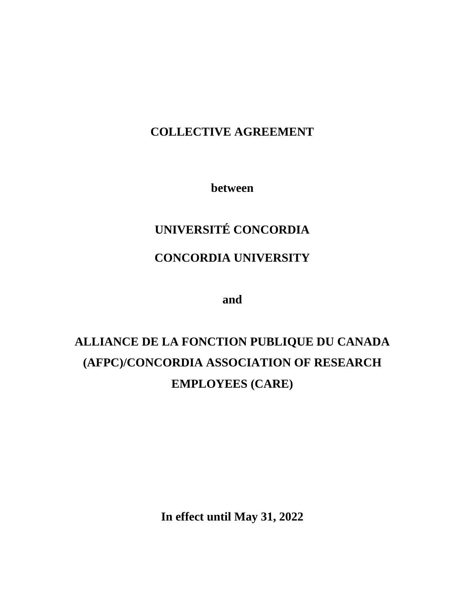## **COLLECTIVE AGREEMENT**

**between**

# **UNIVERSITÉ CONCORDIA**

## **CONCORDIA UNIVERSITY**

**and**

# **ALLIANCE DE LA FONCTION PUBLIQUE DU CANADA (AFPC)/CONCORDIA ASSOCIATION OF RESEARCH EMPLOYEES (CARE)**

**In effect until May 31, 2022**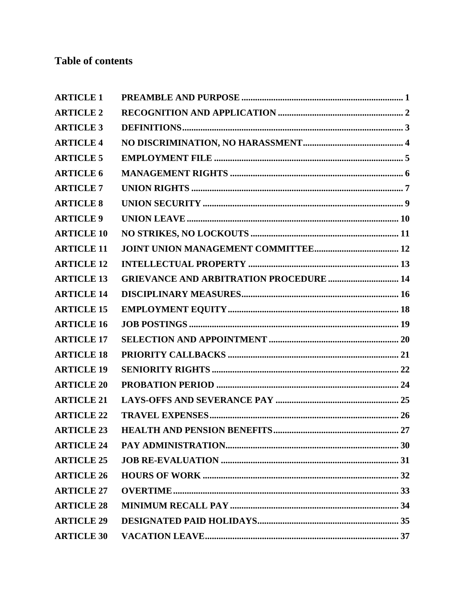## **Table of contents**

| <b>ARTICLE 1</b>  |                                                |
|-------------------|------------------------------------------------|
| <b>ARTICLE 2</b>  |                                                |
| <b>ARTICLE 3</b>  |                                                |
| <b>ARTICLE 4</b>  |                                                |
| <b>ARTICLE 5</b>  |                                                |
| <b>ARTICLE 6</b>  |                                                |
| <b>ARTICLE 7</b>  |                                                |
| <b>ARTICLE 8</b>  |                                                |
| <b>ARTICLE 9</b>  |                                                |
| <b>ARTICLE 10</b> |                                                |
| <b>ARTICLE 11</b> |                                                |
| <b>ARTICLE 12</b> |                                                |
| <b>ARTICLE 13</b> | <b>GRIEVANCE AND ARBITRATION PROCEDURE  14</b> |
| <b>ARTICLE 14</b> |                                                |
| <b>ARTICLE 15</b> |                                                |
| <b>ARTICLE 16</b> |                                                |
| <b>ARTICLE 17</b> |                                                |
| <b>ARTICLE 18</b> |                                                |
| <b>ARTICLE 19</b> |                                                |
| <b>ARTICLE 20</b> |                                                |
| <b>ARTICLE 21</b> |                                                |
| <b>ARTICLE 22</b> |                                                |
| <b>ARTICLE 23</b> |                                                |
| <b>ARTICLE 24</b> |                                                |
| <b>ARTICLE 25</b> |                                                |
| <b>ARTICLE 26</b> |                                                |
| <b>ARTICLE 27</b> |                                                |
| <b>ARTICLE 28</b> |                                                |
| <b>ARTICLE 29</b> |                                                |
| <b>ARTICLE 30</b> |                                                |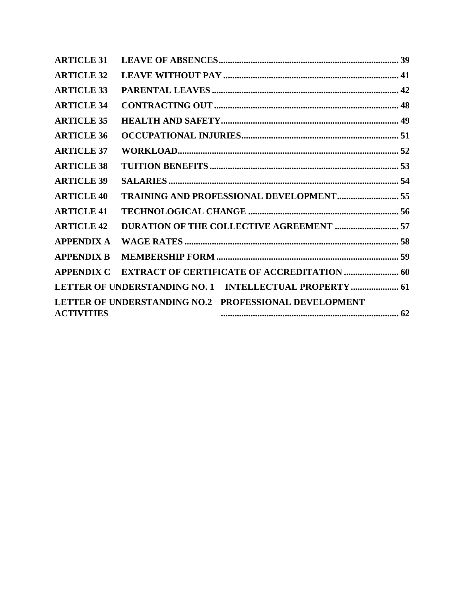| <b>ARTICLE 31</b> |                                                         |  |
|-------------------|---------------------------------------------------------|--|
| <b>ARTICLE 32</b> |                                                         |  |
| <b>ARTICLE 33</b> |                                                         |  |
| <b>ARTICLE 34</b> |                                                         |  |
| <b>ARTICLE 35</b> |                                                         |  |
| <b>ARTICLE 36</b> |                                                         |  |
| <b>ARTICLE 37</b> |                                                         |  |
| <b>ARTICLE 38</b> |                                                         |  |
| <b>ARTICLE 39</b> |                                                         |  |
| <b>ARTICLE 40</b> | <b>TRAINING AND PROFESSIONAL DEVELOPMENT 55</b>         |  |
| <b>ARTICLE 41</b> |                                                         |  |
| <b>ARTICLE 42</b> |                                                         |  |
| <b>APPENDIX A</b> |                                                         |  |
| <b>APPENDIX B</b> |                                                         |  |
| <b>APPENDIX C</b> |                                                         |  |
|                   | LETTER OF UNDERSTANDING NO. 1 INTELLECTUAL PROPERTY  61 |  |
|                   | LETTER OF UNDERSTANDING NO.2 PROFESSIONAL DEVELOPMENT   |  |
| <b>ACTIVITIES</b> |                                                         |  |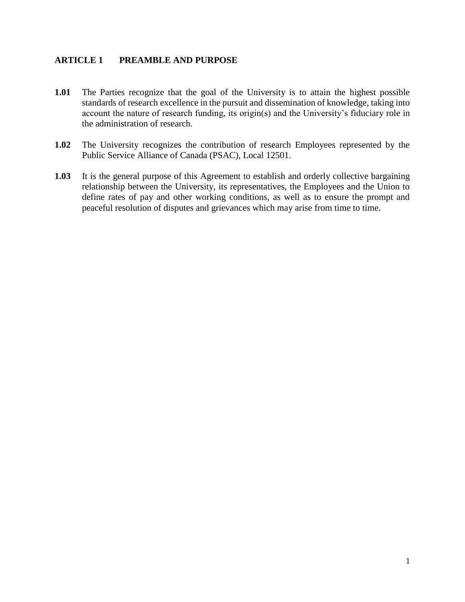#### <span id="page-4-0"></span>**ARTICLE 1 PREAMBLE AND PURPOSE**

- **1.01** The Parties recognize that the goal of the University is to attain the highest possible standards of research excellence in the pursuit and dissemination of knowledge, taking into account the nature of research funding, its origin(s) and the University's fiduciary role in the administration of research.
- **1.02** The University recognizes the contribution of research Employees represented by the Public Service Alliance of Canada (PSAC), Local 12501.
- **1.03** It is the general purpose of this Agreement to establish and orderly collective bargaining relationship between the University, its representatives, the Employees and the Union to define rates of pay and other working conditions, as well as to ensure the prompt and peaceful resolution of disputes and grievances which may arise from time to time.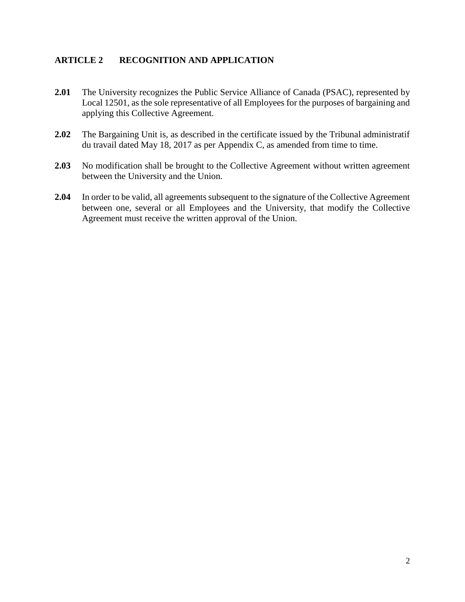#### <span id="page-5-0"></span>**ARTICLE 2 RECOGNITION AND APPLICATION**

- **2.01** The University recognizes the Public Service Alliance of Canada (PSAC), represented by Local 12501, as the sole representative of all Employees for the purposes of bargaining and applying this Collective Agreement.
- **2.02** The Bargaining Unit is, as described in the certificate issued by the Tribunal administratif du travail dated May 18, 2017 as per Appendix C, as amended from time to time.
- **2.03** No modification shall be brought to the Collective Agreement without written agreement between the University and the Union.
- **2.04** In order to be valid, all agreements subsequent to the signature of the Collective Agreement between one, several or all Employees and the University, that modify the Collective Agreement must receive the written approval of the Union.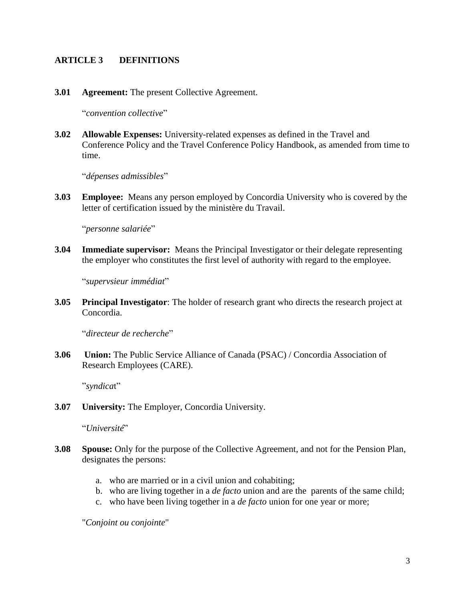#### <span id="page-6-0"></span>**ARTICLE 3 DEFINITIONS**

**3.01 Agreement:** The present Collective Agreement.

"*convention collective*"

**3.02 Allowable Expenses:** University-related expenses as defined in the Travel and Conference Policy and the Travel Conference Policy Handbook, as amended from time to time.

"*dépenses admissibles*"

**3.03 Employee:** Means any person employed by Concordia University who is covered by the letter of certification issued by the ministère du Travail.

"*personne salariée*"

**3.04 Immediate supervisor:** Means the Principal Investigator or their delegate representing the employer who constitutes the first level of authority with regard to the employee.

"*supervsieur immédiat*"

**3.05 Principal Investigator**: The holder of research grant who directs the research project at Concordia.

"*directeur de recherche*"

**3.06 Union:** The Public Service Alliance of Canada (PSAC) / Concordia Association of Research Employees (CARE).

"*syndica*t"

**3.07 University:** The Employer, Concordia University.

"*Université*"

- **3.08 Spouse:** Only for the purpose of the Collective Agreement, and not for the Pension Plan, designates the persons:
	- a. who are married or in a civil union and cohabiting;
	- b. who are living together in a *de facto* union and are the parents of the same child;
	- c. who have been living together in a *de facto* union for one year or more;

"*Conjoint ou conjointe*"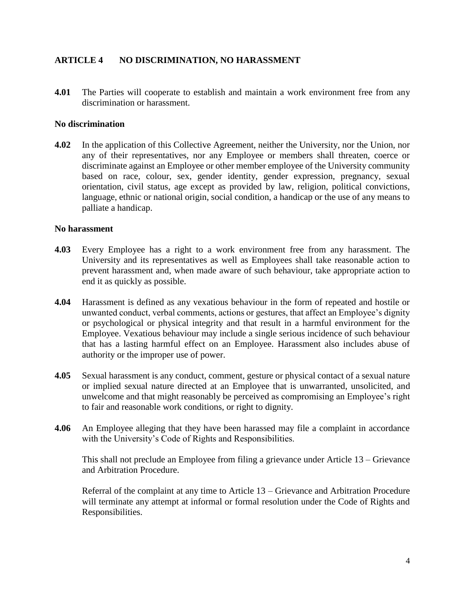#### <span id="page-7-0"></span>**ARTICLE 4 NO DISCRIMINATION, NO HARASSMENT**

**4.01** The Parties will cooperate to establish and maintain a work environment free from any discrimination or harassment.

#### **No discrimination**

**4.02** In the application of this Collective Agreement, neither the University, nor the Union, nor any of their representatives, nor any Employee or members shall threaten, coerce or discriminate against an Employee or other member employee of the University community based on race, colour, sex, gender identity, gender expression, pregnancy, sexual orientation, civil status, age except as provided by law, religion, political convictions, language, ethnic or national origin, social condition, a handicap or the use of any means to palliate a handicap.

#### **No harassment**

- **4.03** Every Employee has a right to a work environment free from any harassment. The University and its representatives as well as Employees shall take reasonable action to prevent harassment and, when made aware of such behaviour, take appropriate action to end it as quickly as possible.
- **4.04** Harassment is defined as any vexatious behaviour in the form of repeated and hostile or unwanted conduct, verbal comments, actions or gestures, that affect an Employee's dignity or psychological or physical integrity and that result in a harmful environment for the Employee. Vexatious behaviour may include a single serious incidence of such behaviour that has a lasting harmful effect on an Employee. Harassment also includes abuse of authority or the improper use of power.
- **4.05** Sexual harassment is any conduct, comment, gesture or physical contact of a sexual nature or implied sexual nature directed at an Employee that is unwarranted, unsolicited, and unwelcome and that might reasonably be perceived as compromising an Employee's right to fair and reasonable work conditions, or right to dignity.
- **4.06** An Employee alleging that they have been harassed may file a complaint in accordance with the University's Code of Rights and Responsibilities.

This shall not preclude an Employee from filing a grievance under Article 13 – Grievance and Arbitration Procedure.

Referral of the complaint at any time to Article 13 – Grievance and Arbitration Procedure will terminate any attempt at informal or formal resolution under the Code of Rights and Responsibilities.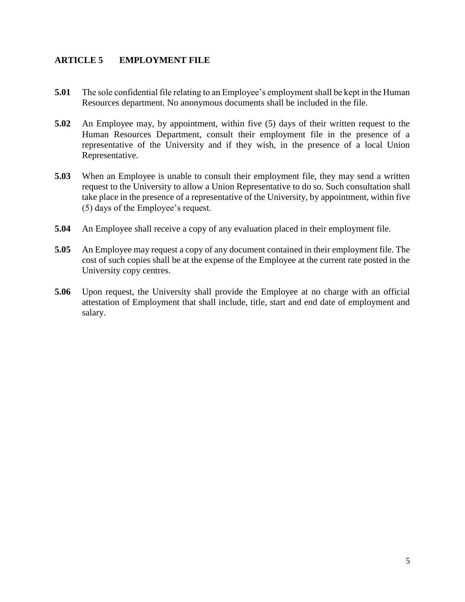#### <span id="page-8-0"></span>**ARTICLE 5 EMPLOYMENT FILE**

- **5.01** The sole confidential file relating to an Employee's employment shall be kept in the Human Resources department. No anonymous documents shall be included in the file.
- **5.02** An Employee may, by appointment, within five (5) days of their written request to the Human Resources Department, consult their employment file in the presence of a representative of the University and if they wish, in the presence of a local Union Representative.
- **5.03** When an Employee is unable to consult their employment file, they may send a written request to the University to allow a Union Representative to do so. Such consultation shall take place in the presence of a representative of the University, by appointment, within five (5) days of the Employee's request.
- **5.04** An Employee shall receive a copy of any evaluation placed in their employment file.
- **5.05** An Employee may request a copy of any document contained in their employment file. The cost of such copies shall be at the expense of the Employee at the current rate posted in the University copy centres.
- **5.06** Upon request, the University shall provide the Employee at no charge with an official attestation of Employment that shall include, title, start and end date of employment and salary.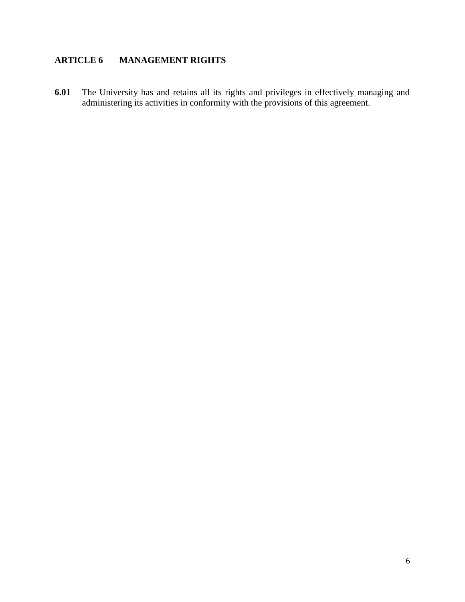## <span id="page-9-0"></span>**ARTICLE 6 MANAGEMENT RIGHTS**

**6.01** The University has and retains all its rights and privileges in effectively managing and administering its activities in conformity with the provisions of this agreement.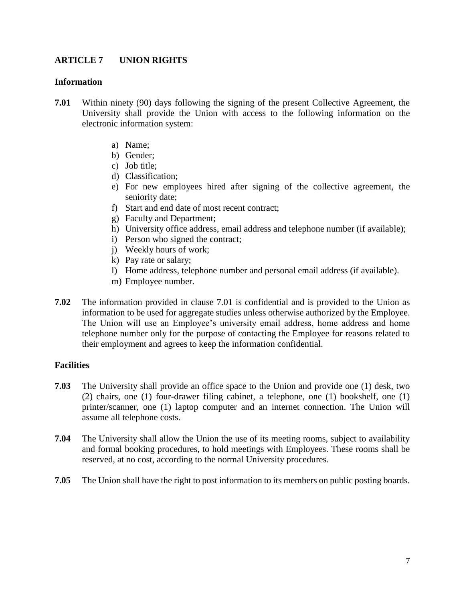#### <span id="page-10-0"></span>**ARTICLE 7 UNION RIGHTS**

#### **Information**

- **7.01** Within ninety (90) days following the signing of the present Collective Agreement, the University shall provide the Union with access to the following information on the electronic information system:
	- a) Name;
	- b) Gender;
	- c) Job title;
	- d) Classification;
	- e) For new employees hired after signing of the collective agreement, the seniority date;
	- f) Start and end date of most recent contract;
	- g) Faculty and Department;
	- h) University office address, email address and telephone number (if available);
	- i) Person who signed the contract;
	- j) Weekly hours of work;
	- k) Pay rate or salary;
	- l) Home address, telephone number and personal email address (if available).
	- m) Employee number.
- **7.02** The information provided in clause 7.01 is confidential and is provided to the Union as information to be used for aggregate studies unless otherwise authorized by the Employee. The Union will use an Employee's university email address, home address and home telephone number only for the purpose of contacting the Employee for reasons related to their employment and agrees to keep the information confidential.

#### **Facilities**

- **7.03** The University shall provide an office space to the Union and provide one (1) desk, two (2) chairs, one (1) four-drawer filing cabinet, a telephone, one (1) bookshelf, one (1) printer/scanner, one (1) laptop computer and an internet connection. The Union will assume all telephone costs.
- **7.04** The University shall allow the Union the use of its meeting rooms, subject to availability and formal booking procedures, to hold meetings with Employees. These rooms shall be reserved, at no cost, according to the normal University procedures.
- **7.05** The Union shall have the right to post information to its members on public posting boards.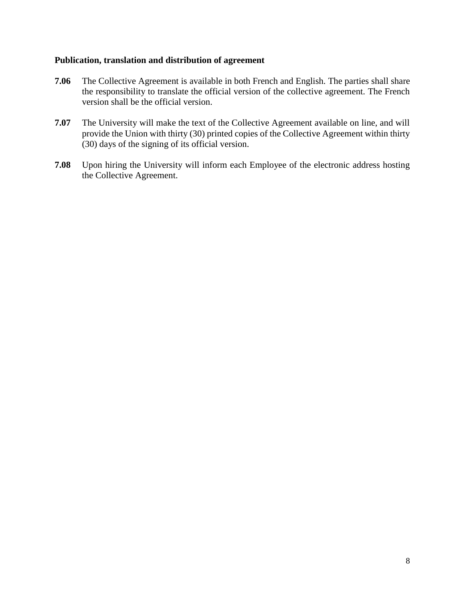#### **Publication, translation and distribution of agreement**

- **7.06** The Collective Agreement is available in both French and English. The parties shall share the responsibility to translate the official version of the collective agreement. The French version shall be the official version.
- **7.07** The University will make the text of the Collective Agreement available on line, and will provide the Union with thirty (30) printed copies of the Collective Agreement within thirty (30) days of the signing of its official version.
- **7.08** Upon hiring the University will inform each Employee of the electronic address hosting the Collective Agreement.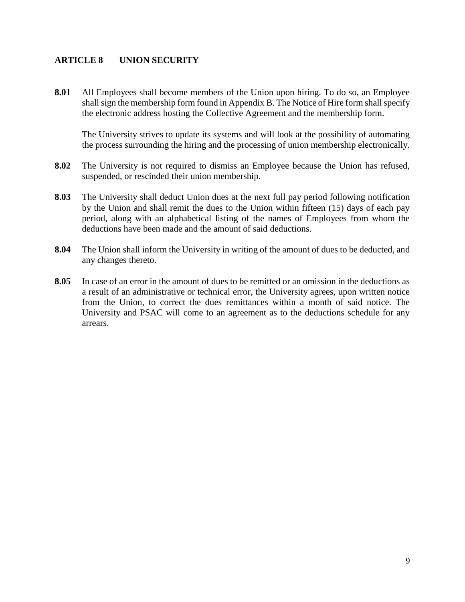#### <span id="page-12-0"></span>**ARTICLE 8 UNION SECURITY**

**8.01** All Employees shall become members of the Union upon hiring. To do so, an Employee shall sign the membership form found in Appendix B. The Notice of Hire form shall specify the electronic address hosting the Collective Agreement and the membership form.

The University strives to update its systems and will look at the possibility of automating the process surrounding the hiring and the processing of union membership electronically.

- **8.02** The University is not required to dismiss an Employee because the Union has refused, suspended, or rescinded their union membership.
- **8.03** The University shall deduct Union dues at the next full pay period following notification by the Union and shall remit the dues to the Union within fifteen (15) days of each pay period, along with an alphabetical listing of the names of Employees from whom the deductions have been made and the amount of said deductions.
- **8.04** The Union shall inform the University in writing of the amount of dues to be deducted, and any changes thereto.
- **8.05** In case of an error in the amount of dues to be remitted or an omission in the deductions as a result of an administrative or technical error, the University agrees, upon written notice from the Union, to correct the dues remittances within a month of said notice. The University and PSAC will come to an agreement as to the deductions schedule for any arrears.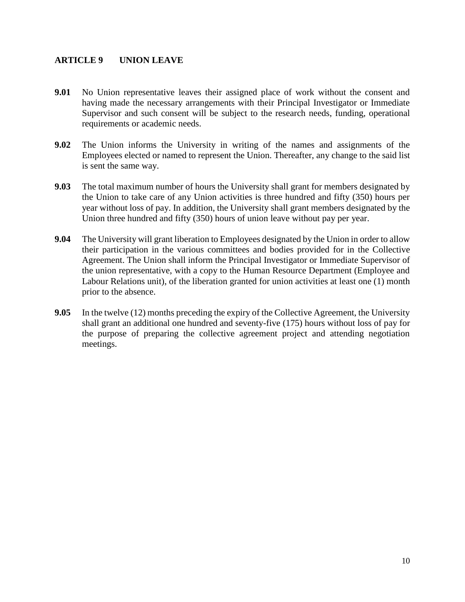#### <span id="page-13-0"></span>**ARTICLE 9 UNION LEAVE**

- **9.01** No Union representative leaves their assigned place of work without the consent and having made the necessary arrangements with their Principal Investigator or Immediate Supervisor and such consent will be subject to the research needs, funding, operational requirements or academic needs.
- **9.02** The Union informs the University in writing of the names and assignments of the Employees elected or named to represent the Union. Thereafter, any change to the said list is sent the same way.
- **9.03** The total maximum number of hours the University shall grant for members designated by the Union to take care of any Union activities is three hundred and fifty (350) hours per year without loss of pay. In addition, the University shall grant members designated by the Union three hundred and fifty (350) hours of union leave without pay per year.
- **9.04** The University will grant liberation to Employees designated by the Union in order to allow their participation in the various committees and bodies provided for in the Collective Agreement. The Union shall inform the Principal Investigator or Immediate Supervisor of the union representative, with a copy to the Human Resource Department (Employee and Labour Relations unit), of the liberation granted for union activities at least one (1) month prior to the absence.
- **9.05** In the twelve (12) months preceding the expiry of the Collective Agreement, the University shall grant an additional one hundred and seventy-five (175) hours without loss of pay for the purpose of preparing the collective agreement project and attending negotiation meetings.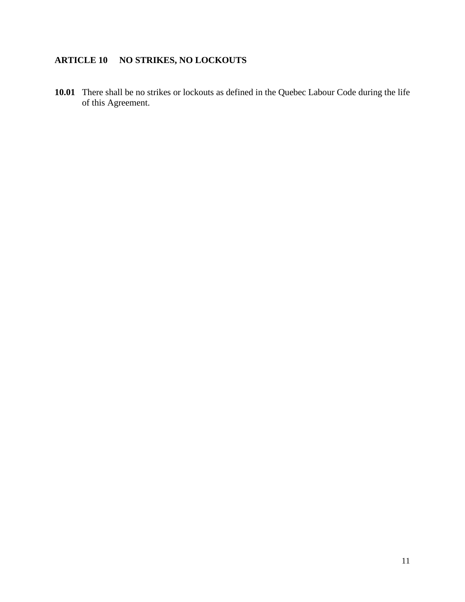## <span id="page-14-0"></span>**ARTICLE 10 NO STRIKES, NO LOCKOUTS**

**10.01** There shall be no strikes or lockouts as defined in the Quebec Labour Code during the life of this Agreement.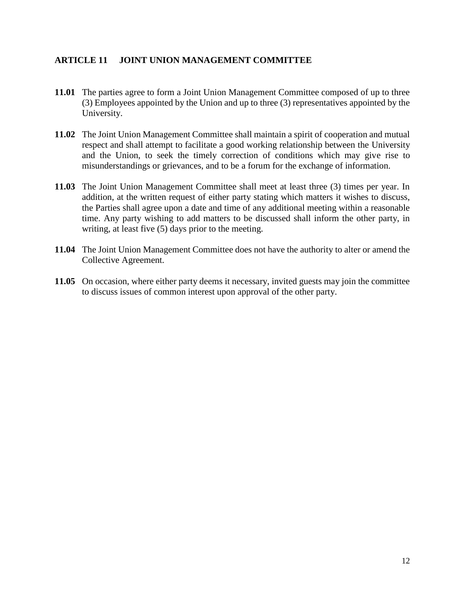#### <span id="page-15-0"></span>**ARTICLE 11 JOINT UNION MANAGEMENT COMMITTEE**

- **11.01** The parties agree to form a Joint Union Management Committee composed of up to three (3) Employees appointed by the Union and up to three (3) representatives appointed by the University.
- **11.02** The Joint Union Management Committee shall maintain a spirit of cooperation and mutual respect and shall attempt to facilitate a good working relationship between the University and the Union, to seek the timely correction of conditions which may give rise to misunderstandings or grievances, and to be a forum for the exchange of information.
- **11.03** The Joint Union Management Committee shall meet at least three (3) times per year. In addition, at the written request of either party stating which matters it wishes to discuss, the Parties shall agree upon a date and time of any additional meeting within a reasonable time. Any party wishing to add matters to be discussed shall inform the other party, in writing, at least five (5) days prior to the meeting.
- **11.04** The Joint Union Management Committee does not have the authority to alter or amend the Collective Agreement.
- **11.05** On occasion, where either party deems it necessary, invited guests may join the committee to discuss issues of common interest upon approval of the other party.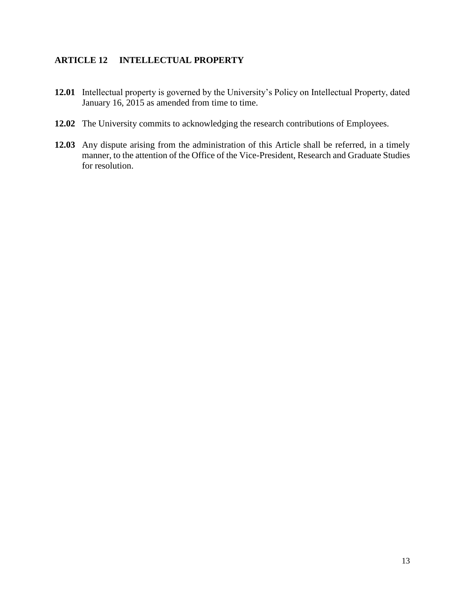#### <span id="page-16-0"></span>**ARTICLE 12 INTELLECTUAL PROPERTY**

- **12.01** Intellectual property is governed by the University's Policy on Intellectual Property, dated January 16, 2015 as amended from time to time.
- **12.02** The University commits to acknowledging the research contributions of Employees.
- **12.03** Any dispute arising from the administration of this Article shall be referred, in a timely manner, to the attention of the Office of the Vice-President, Research and Graduate Studies for resolution.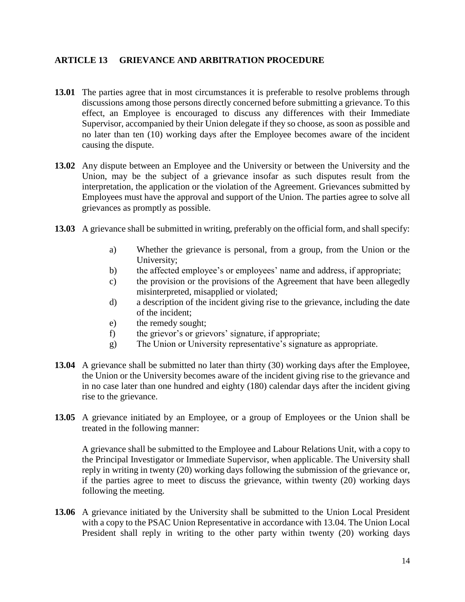#### <span id="page-17-0"></span>**ARTICLE 13 GRIEVANCE AND ARBITRATION PROCEDURE**

- **13.01** The parties agree that in most circumstances it is preferable to resolve problems through discussions among those persons directly concerned before submitting a grievance. To this effect, an Employee is encouraged to discuss any differences with their Immediate Supervisor, accompanied by their Union delegate if they so choose, as soon as possible and no later than ten (10) working days after the Employee becomes aware of the incident causing the dispute.
- **13.02** Any dispute between an Employee and the University or between the University and the Union, may be the subject of a grievance insofar as such disputes result from the interpretation, the application or the violation of the Agreement. Grievances submitted by Employees must have the approval and support of the Union. The parties agree to solve all grievances as promptly as possible.
- **13.03** A grievance shall be submitted in writing, preferably on the official form, and shall specify:
	- a) Whether the grievance is personal, from a group, from the Union or the University;
	- b) the affected employee's or employees' name and address, if appropriate;
	- c) the provision or the provisions of the Agreement that have been allegedly misinterpreted, misapplied or violated;
	- d) a description of the incident giving rise to the grievance, including the date of the incident;
	- e) the remedy sought;
	- f) the grievor's or grievors' signature, if appropriate;
	- g) The Union or University representative's signature as appropriate.
- **13.04** A grievance shall be submitted no later than thirty (30) working days after the Employee, the Union or the University becomes aware of the incident giving rise to the grievance and in no case later than one hundred and eighty (180) calendar days after the incident giving rise to the grievance.
- **13.05** A grievance initiated by an Employee, or a group of Employees or the Union shall be treated in the following manner:

A grievance shall be submitted to the Employee and Labour Relations Unit, with a copy to the Principal Investigator or Immediate Supervisor, when applicable. The University shall reply in writing in twenty (20) working days following the submission of the grievance or, if the parties agree to meet to discuss the grievance, within twenty (20) working days following the meeting.

**13.06** A grievance initiated by the University shall be submitted to the Union Local President with a copy to the PSAC Union Representative in accordance with 13.04. The Union Local President shall reply in writing to the other party within twenty (20) working days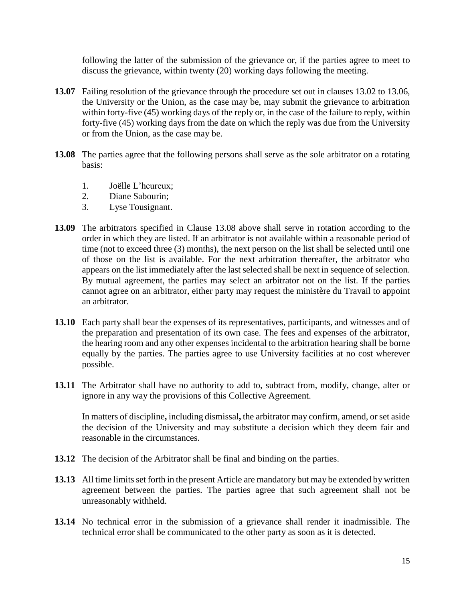following the latter of the submission of the grievance or, if the parties agree to meet to discuss the grievance, within twenty (20) working days following the meeting.

- **13.07** Failing resolution of the grievance through the procedure set out in clauses 13.02 to 13.06, the University or the Union, as the case may be, may submit the grievance to arbitration within forty-five (45) working days of the reply or, in the case of the failure to reply, within forty-five (45) working days from the date on which the reply was due from the University or from the Union, as the case may be.
- **13.08** The parties agree that the following persons shall serve as the sole arbitrator on a rotating basis:
	- 1. Joëlle L'heureux;
	- 2. Diane Sabourin;
	- 3. Lyse Tousignant.
- **13.09** The arbitrators specified in Clause 13.08 above shall serve in rotation according to the order in which they are listed. If an arbitrator is not available within a reasonable period of time (not to exceed three (3) months), the next person on the list shall be selected until one of those on the list is available. For the next arbitration thereafter, the arbitrator who appears on the list immediately after the last selected shall be next in sequence of selection. By mutual agreement, the parties may select an arbitrator not on the list. If the parties cannot agree on an arbitrator, either party may request the ministère du Travail to appoint an arbitrator.
- **13.10** Each party shall bear the expenses of its representatives, participants, and witnesses and of the preparation and presentation of its own case. The fees and expenses of the arbitrator, the hearing room and any other expenses incidental to the arbitration hearing shall be borne equally by the parties. The parties agree to use University facilities at no cost wherever possible.
- **13.11** The Arbitrator shall have no authority to add to, subtract from, modify, change, alter or ignore in any way the provisions of this Collective Agreement.

In matters of discipline**,** including dismissal**,** the arbitrator may confirm, amend, or set aside the decision of the University and may substitute a decision which they deem fair and reasonable in the circumstances.

- **13.12** The decision of the Arbitrator shall be final and binding on the parties.
- **13.13** All time limits set forth in the present Article are mandatory but may be extended by written agreement between the parties. The parties agree that such agreement shall not be unreasonably withheld.
- **13.14** No technical error in the submission of a grievance shall render it inadmissible. The technical error shall be communicated to the other party as soon as it is detected.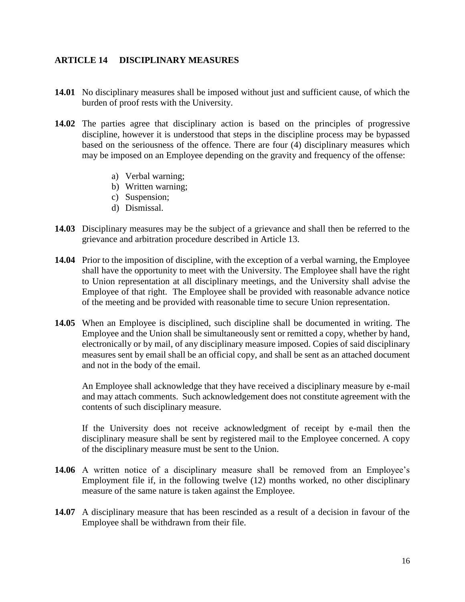#### <span id="page-19-0"></span>**ARTICLE 14 DISCIPLINARY MEASURES**

- **14.01** No disciplinary measures shall be imposed without just and sufficient cause, of which the burden of proof rests with the University.
- **14.02** The parties agree that disciplinary action is based on the principles of progressive discipline, however it is understood that steps in the discipline process may be bypassed based on the seriousness of the offence. There are four (4) disciplinary measures which may be imposed on an Employee depending on the gravity and frequency of the offense:
	- a) Verbal warning;
	- b) Written warning;
	- c) Suspension;
	- d) Dismissal.
- **14.03** Disciplinary measures may be the subject of a grievance and shall then be referred to the grievance and arbitration procedure described in Article 13.
- **14.04** Prior to the imposition of discipline, with the exception of a verbal warning, the Employee shall have the opportunity to meet with the University. The Employee shall have the right to Union representation at all disciplinary meetings, and the University shall advise the Employee of that right. The Employee shall be provided with reasonable advance notice of the meeting and be provided with reasonable time to secure Union representation.
- **14.05** When an Employee is disciplined, such discipline shall be documented in writing. The Employee and the Union shall be simultaneously sent or remitted a copy, whether by hand, electronically or by mail, of any disciplinary measure imposed. Copies of said disciplinary measures sent by email shall be an official copy, and shall be sent as an attached document and not in the body of the email.

An Employee shall acknowledge that they have received a disciplinary measure by e-mail and may attach comments. Such acknowledgement does not constitute agreement with the contents of such disciplinary measure.

If the University does not receive acknowledgment of receipt by e-mail then the disciplinary measure shall be sent by registered mail to the Employee concerned. A copy of the disciplinary measure must be sent to the Union.

- **14.06** A written notice of a disciplinary measure shall be removed from an Employee's Employment file if, in the following twelve (12) months worked, no other disciplinary measure of the same nature is taken against the Employee.
- **14.07** A disciplinary measure that has been rescinded as a result of a decision in favour of the Employee shall be withdrawn from their file.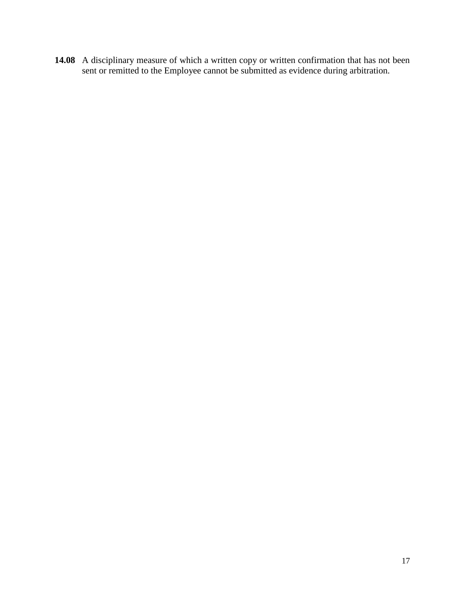**14.08** A disciplinary measure of which a written copy or written confirmation that has not been sent or remitted to the Employee cannot be submitted as evidence during arbitration.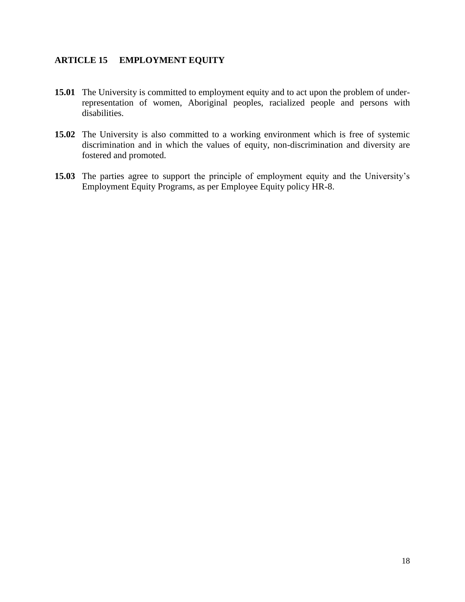#### <span id="page-21-0"></span>**ARTICLE 15 EMPLOYMENT EQUITY**

- **15.01** The University is committed to employment equity and to act upon the problem of underrepresentation of women, Aboriginal peoples, racialized people and persons with disabilities.
- **15.02** The University is also committed to a working environment which is free of systemic discrimination and in which the values of equity, non-discrimination and diversity are fostered and promoted.
- **15.03** The parties agree to support the principle of employment equity and the University's Employment Equity Programs, as per Employee Equity policy HR-8.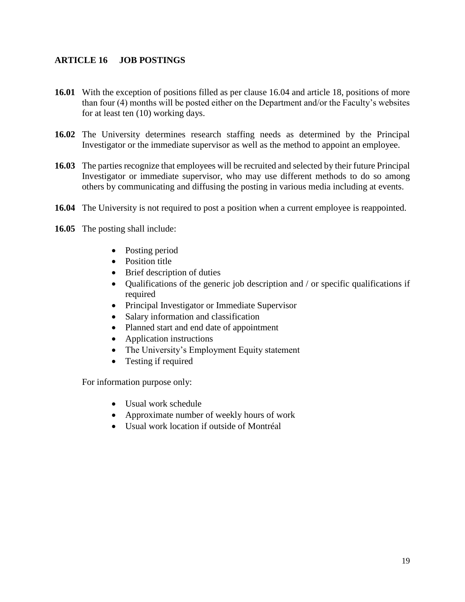#### <span id="page-22-0"></span>**ARTICLE 16 JOB POSTINGS**

- **16.01** With the exception of positions filled as per clause 16.04 and article 18, positions of more than four (4) months will be posted either on the Department and/or the Faculty's websites for at least ten (10) working days.
- **16.02** The University determines research staffing needs as determined by the Principal Investigator or the immediate supervisor as well as the method to appoint an employee.
- **16.03** The parties recognize that employees will be recruited and selected by their future Principal Investigator or immediate supervisor, who may use different methods to do so among others by communicating and diffusing the posting in various media including at events.
- **16.04** The University is not required to post a position when a current employee is reappointed.
- **16.05** The posting shall include:
	- Posting period
	- Position title
	- Brief description of duties
	- Qualifications of the generic job description and / or specific qualifications if required
	- Principal Investigator or Immediate Supervisor
	- Salary information and classification
	- Planned start and end date of appointment
	- Application instructions
	- The University's Employment Equity statement
	- Testing if required

For information purpose only:

- Usual work schedule
- Approximate number of weekly hours of work
- Usual work location if outside of Montréal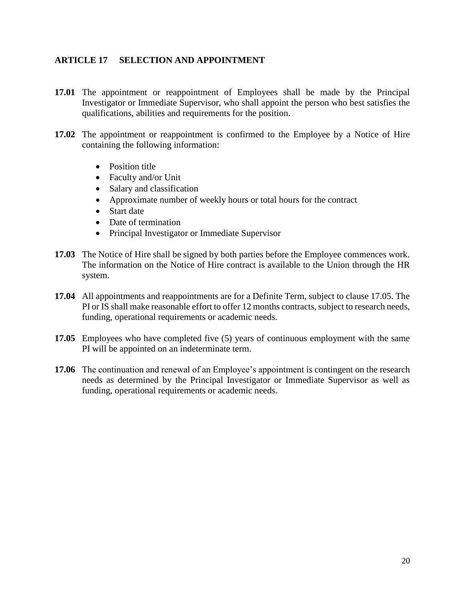#### <span id="page-23-0"></span>**ARTICLE 17 SELECTION AND APPOINTMENT**

- **17.01** The appointment or reappointment of Employees shall be made by the Principal Investigator or Immediate Supervisor, who shall appoint the person who best satisfies the qualifications, abilities and requirements for the position.
- **17.02** The appointment or reappointment is confirmed to the Employee by a Notice of Hire containing the following information:
	- Position title
	- Faculty and/or Unit
	- Salary and classification
	- Approximate number of weekly hours or total hours for the contract
	- Start date
	- Date of termination
	- Principal Investigator or Immediate Supervisor
- **17.03** The Notice of Hire shall be signed by both parties before the Employee commences work. The information on the Notice of Hire contract is available to the Union through the HR system.
- **17.04** All appointments and reappointments are for a Definite Term, subject to clause 17.05. The PI or IS shall make reasonable effort to offer 12 months contracts, subject to research needs, funding, operational requirements or academic needs.
- **17.05** Employees who have completed five (5) years of continuous employment with the same PI will be appointed on an indeterminate term.
- **17.06** The continuation and renewal of an Employee's appointment is contingent on the research needs as determined by the Principal Investigator or Immediate Supervisor as well as funding, operational requirements or academic needs.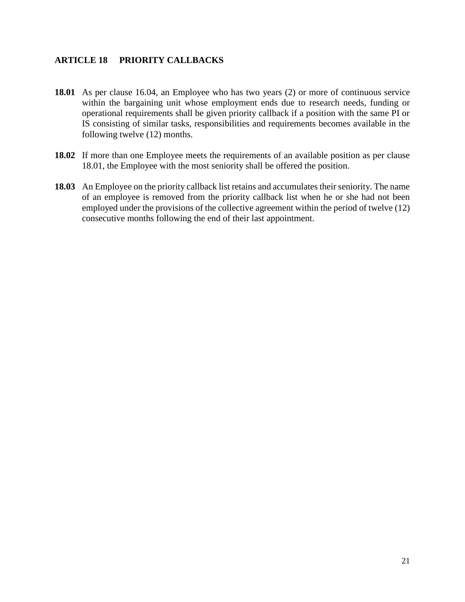#### <span id="page-24-0"></span>**ARTICLE 18 PRIORITY CALLBACKS**

- **18.01** As per clause 16.04, an Employee who has two years (2) or more of continuous service within the bargaining unit whose employment ends due to research needs, funding or operational requirements shall be given priority callback if a position with the same PI or IS consisting of similar tasks, responsibilities and requirements becomes available in the following twelve (12) months.
- **18.02** If more than one Employee meets the requirements of an available position as per clause 18.01, the Employee with the most seniority shall be offered the position.
- **18.03** An Employee on the priority callback list retains and accumulates their seniority. The name of an employee is removed from the priority callback list when he or she had not been employed under the provisions of the collective agreement within the period of twelve (12) consecutive months following the end of their last appointment.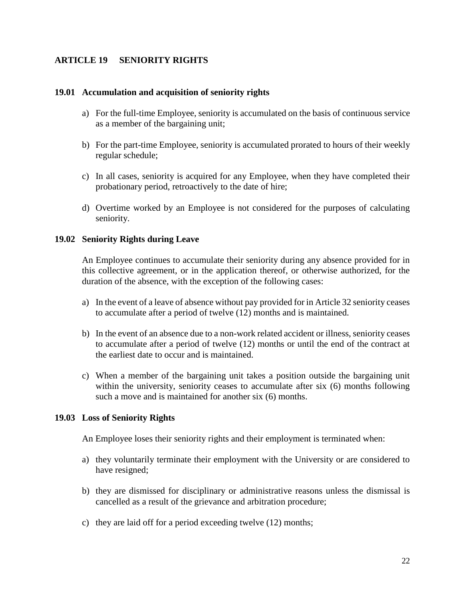#### <span id="page-25-0"></span>**ARTICLE 19 SENIORITY RIGHTS**

#### **19.01 Accumulation and acquisition of seniority rights**

- a) For the full-time Employee, seniority is accumulated on the basis of continuous service as a member of the bargaining unit;
- b) For the part-time Employee, seniority is accumulated prorated to hours of their weekly regular schedule;
- c) In all cases, seniority is acquired for any Employee, when they have completed their probationary period, retroactively to the date of hire;
- d) Overtime worked by an Employee is not considered for the purposes of calculating seniority.

#### **19.02 Seniority Rights during Leave**

An Employee continues to accumulate their seniority during any absence provided for in this collective agreement, or in the application thereof, or otherwise authorized, for the duration of the absence, with the exception of the following cases:

- a) In the event of a leave of absence without pay provided for in Article 32 seniority ceases to accumulate after a period of twelve (12) months and is maintained.
- b) In the event of an absence due to a non-work related accident or illness, seniority ceases to accumulate after a period of twelve (12) months or until the end of the contract at the earliest date to occur and is maintained.
- c) When a member of the bargaining unit takes a position outside the bargaining unit within the university, seniority ceases to accumulate after six (6) months following such a move and is maintained for another six (6) months.

#### **19.03 Loss of Seniority Rights**

An Employee loses their seniority rights and their employment is terminated when:

- a) they voluntarily terminate their employment with the University or are considered to have resigned;
- b) they are dismissed for disciplinary or administrative reasons unless the dismissal is cancelled as a result of the grievance and arbitration procedure;
- c) they are laid off for a period exceeding twelve (12) months;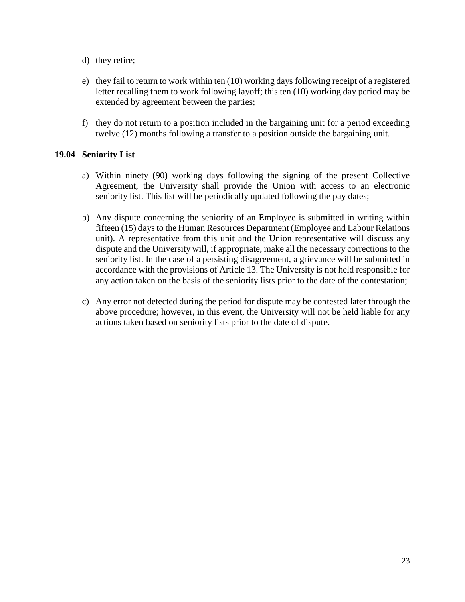- d) they retire;
- e) they fail to return to work within ten (10) working days following receipt of a registered letter recalling them to work following layoff; this ten (10) working day period may be extended by agreement between the parties;
- f) they do not return to a position included in the bargaining unit for a period exceeding twelve (12) months following a transfer to a position outside the bargaining unit.

#### **19.04 Seniority List**

- a) Within ninety (90) working days following the signing of the present Collective Agreement, the University shall provide the Union with access to an electronic seniority list. This list will be periodically updated following the pay dates;
- b) Any dispute concerning the seniority of an Employee is submitted in writing within fifteen (15) days to the Human Resources Department (Employee and Labour Relations unit). A representative from this unit and the Union representative will discuss any dispute and the University will, if appropriate, make all the necessary corrections to the seniority list. In the case of a persisting disagreement, a grievance will be submitted in accordance with the provisions of Article 13. The University is not held responsible for any action taken on the basis of the seniority lists prior to the date of the contestation;
- c) Any error not detected during the period for dispute may be contested later through the above procedure; however, in this event, the University will not be held liable for any actions taken based on seniority lists prior to the date of dispute.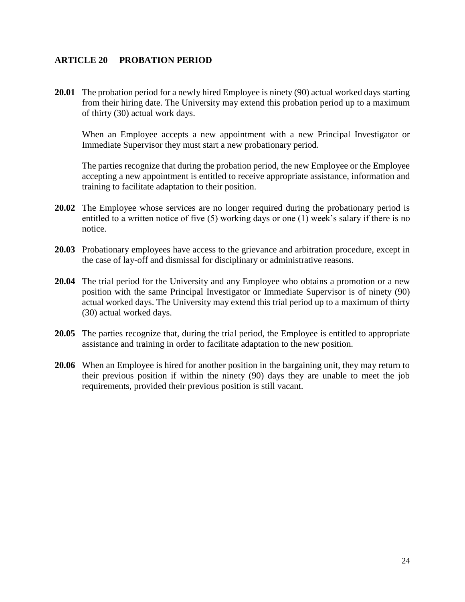#### <span id="page-27-0"></span>**ARTICLE 20 PROBATION PERIOD**

**20.01** The probation period for a newly hired Employee is ninety (90) actual worked days starting from their hiring date. The University may extend this probation period up to a maximum of thirty (30) actual work days.

When an Employee accepts a new appointment with a new Principal Investigator or Immediate Supervisor they must start a new probationary period.

The parties recognize that during the probation period, the new Employee or the Employee accepting a new appointment is entitled to receive appropriate assistance, information and training to facilitate adaptation to their position.

- **20.02** The Employee whose services are no longer required during the probationary period is entitled to a written notice of five (5) working days or one (1) week's salary if there is no notice.
- **20.03** Probationary employees have access to the grievance and arbitration procedure, except in the case of lay-off and dismissal for disciplinary or administrative reasons.
- **20.04** The trial period for the University and any Employee who obtains a promotion or a new position with the same Principal Investigator or Immediate Supervisor is of ninety (90) actual worked days. The University may extend this trial period up to a maximum of thirty (30) actual worked days.
- **20.05** The parties recognize that, during the trial period, the Employee is entitled to appropriate assistance and training in order to facilitate adaptation to the new position.
- **20.06** When an Employee is hired for another position in the bargaining unit, they may return to their previous position if within the ninety (90) days they are unable to meet the job requirements, provided their previous position is still vacant.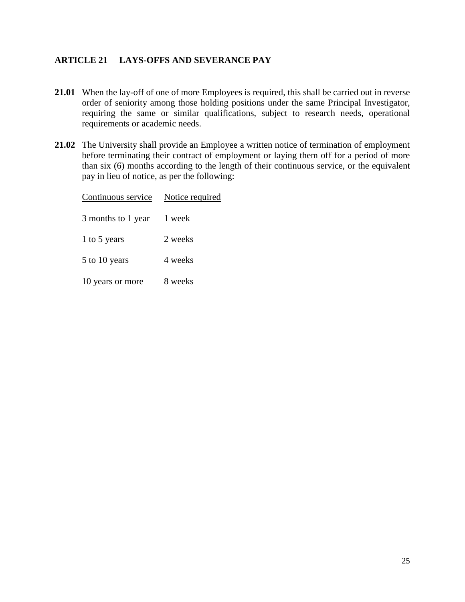#### <span id="page-28-0"></span>**ARTICLE 21 LAYS-OFFS AND SEVERANCE PAY**

- **21.01** When the lay-off of one of more Employees is required, this shall be carried out in reverse order of seniority among those holding positions under the same Principal Investigator, requiring the same or similar qualifications, subject to research needs, operational requirements or academic needs.
- **21.02** The University shall provide an Employee a written notice of termination of employment before terminating their contract of employment or laying them off for a period of more than six (6) months according to the length of their continuous service, or the equivalent pay in lieu of notice, as per the following:

| Continuous service | Notice required |  |
|--------------------|-----------------|--|
| 3 months to 1 year | 1 week          |  |
| 1 to 5 years       | 2 weeks         |  |
| 5 to 10 years      | 4 weeks         |  |
| 10 years or more   | 8 weeks         |  |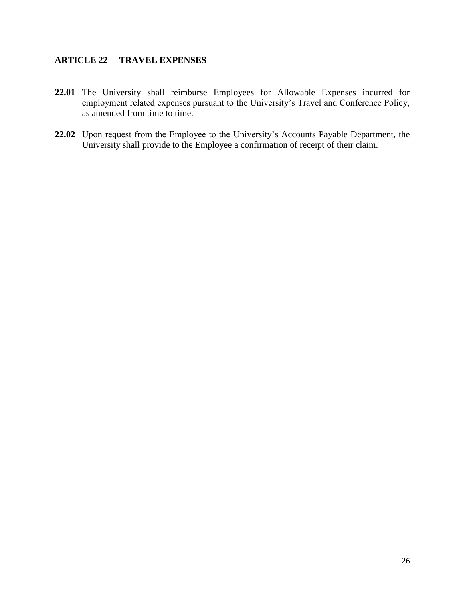#### <span id="page-29-0"></span>**ARTICLE 22 TRAVEL EXPENSES**

- **22.01** The University shall reimburse Employees for Allowable Expenses incurred for employment related expenses pursuant to the University's Travel and Conference Policy, as amended from time to time.
- **22.02** Upon request from the Employee to the University's Accounts Payable Department, the University shall provide to the Employee a confirmation of receipt of their claim.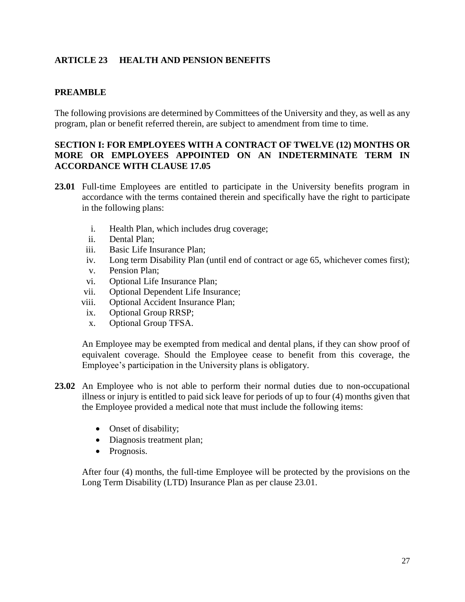#### <span id="page-30-0"></span>**ARTICLE 23 HEALTH AND PENSION BENEFITS**

#### **PREAMBLE**

The following provisions are determined by Committees of the University and they, as well as any program, plan or benefit referred therein, are subject to amendment from time to time.

#### **SECTION I: FOR EMPLOYEES WITH A CONTRACT OF TWELVE (12) MONTHS OR MORE OR EMPLOYEES APPOINTED ON AN INDETERMINATE TERM IN ACCORDANCE WITH CLAUSE 17.05**

- **23.01** Full-time Employees are entitled to participate in the University benefits program in accordance with the terms contained therein and specifically have the right to participate in the following plans:
	- i. Health Plan, which includes drug coverage;
	- ii. Dental Plan;
	- iii. Basic Life Insurance Plan;
	- iv. Long term Disability Plan (until end of contract or age 65, whichever comes first);
	- v. Pension Plan;
	- vi. Optional Life Insurance Plan;
	- vii. Optional Dependent Life Insurance;
	- viii. Optional Accident Insurance Plan;
	- ix. Optional Group RRSP;
	- x. Optional Group TFSA.

An Employee may be exempted from medical and dental plans, if they can show proof of equivalent coverage. Should the Employee cease to benefit from this coverage, the Employee's participation in the University plans is obligatory.

- **23.02** An Employee who is not able to perform their normal duties due to non-occupational illness or injury is entitled to paid sick leave for periods of up to four (4) months given that the Employee provided a medical note that must include the following items:
	- Onset of disability;
	- Diagnosis treatment plan;
	- Prognosis.

After four (4) months, the full-time Employee will be protected by the provisions on the Long Term Disability (LTD) Insurance Plan as per clause 23.01.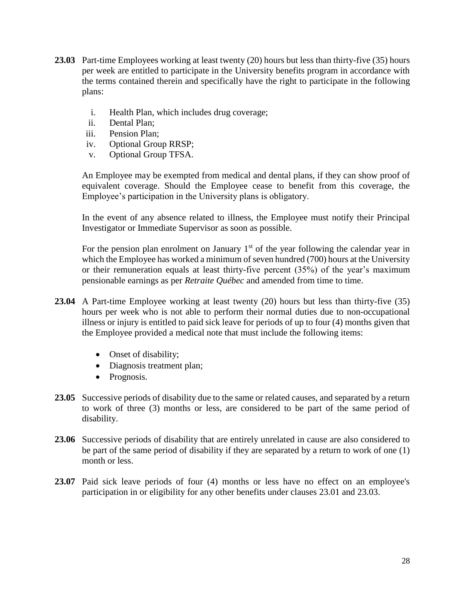- **23.03** Part-time Employees working at least twenty (20) hours but less than thirty-five (35) hours per week are entitled to participate in the University benefits program in accordance with the terms contained therein and specifically have the right to participate in the following plans:
	- i. Health Plan, which includes drug coverage;
	- ii. Dental Plan;
	- iii. Pension Plan;
	- iv. Optional Group RRSP;
	- v. Optional Group TFSA.

An Employee may be exempted from medical and dental plans, if they can show proof of equivalent coverage. Should the Employee cease to benefit from this coverage, the Employee's participation in the University plans is obligatory.

In the event of any absence related to illness, the Employee must notify their Principal Investigator or Immediate Supervisor as soon as possible.

For the pension plan enrolment on January  $1<sup>st</sup>$  of the year following the calendar year in which the Employee has worked a minimum of seven hundred (700) hours at the University or their remuneration equals at least thirty-five percent (35%) of the year's maximum pensionable earnings as per *Retraite Québec* and amended from time to time.

- **23.04** A Part-time Employee working at least twenty (20) hours but less than thirty-five (35) hours per week who is not able to perform their normal duties due to non-occupational illness or injury is entitled to paid sick leave for periods of up to four (4) months given that the Employee provided a medical note that must include the following items:
	- Onset of disability;
	- Diagnosis treatment plan;
	- Prognosis.
- **23.05** Successive periods of disability due to the same or related causes, and separated by a return to work of three (3) months or less, are considered to be part of the same period of disability.
- **23.06** Successive periods of disability that are entirely unrelated in cause are also considered to be part of the same period of disability if they are separated by a return to work of one (1) month or less.
- 23.07 Paid sick leave periods of four (4) months or less have no effect on an employee's participation in or eligibility for any other benefits under clauses 23.01 and 23.03.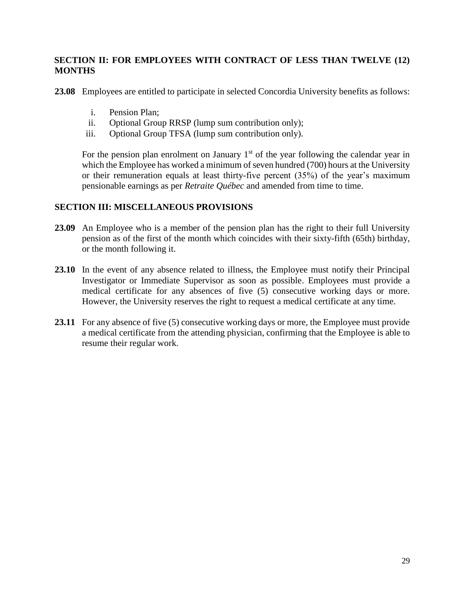#### **SECTION II: FOR EMPLOYEES WITH CONTRACT OF LESS THAN TWELVE (12) MONTHS**

**23.08** Employees are entitled to participate in selected Concordia University benefits as follows:

- i. Pension Plan;
- ii. Optional Group RRSP (lump sum contribution only);
- iii. Optional Group TFSA (lump sum contribution only).

For the pension plan enrolment on January  $1<sup>st</sup>$  of the year following the calendar year in which the Employee has worked a minimum of seven hundred (700) hours at the University or their remuneration equals at least thirty-five percent (35%) of the year's maximum pensionable earnings as per *Retraite Québec* and amended from time to time.

#### **SECTION III: MISCELLANEOUS PROVISIONS**

- **23.09** An Employee who is a member of the pension plan has the right to their full University pension as of the first of the month which coincides with their sixty-fifth (65th) birthday, or the month following it.
- **23.10** In the event of any absence related to illness, the Employee must notify their Principal Investigator or Immediate Supervisor as soon as possible. Employees must provide a medical certificate for any absences of five (5) consecutive working days or more. However, the University reserves the right to request a medical certificate at any time.
- 23.11 For any absence of five (5) consecutive working days or more, the Employee must provide a medical certificate from the attending physician, confirming that the Employee is able to resume their regular work.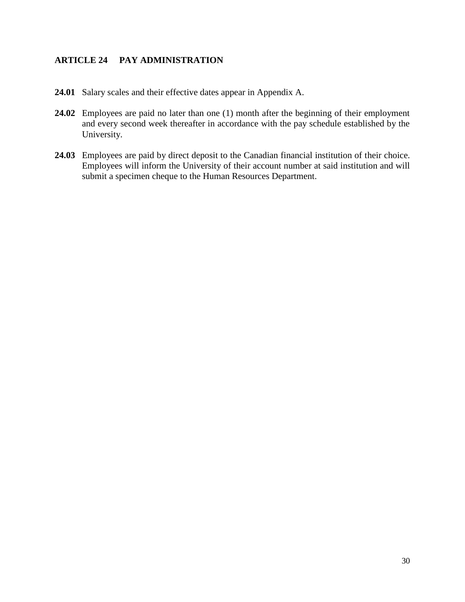#### <span id="page-33-0"></span>**ARTICLE 24 PAY ADMINISTRATION**

- **24.01** Salary scales and their effective dates appear in Appendix A.
- 24.02 Employees are paid no later than one (1) month after the beginning of their employment and every second week thereafter in accordance with the pay schedule established by the University.
- **24.03** Employees are paid by direct deposit to the Canadian financial institution of their choice. Employees will inform the University of their account number at said institution and will submit a specimen cheque to the Human Resources Department.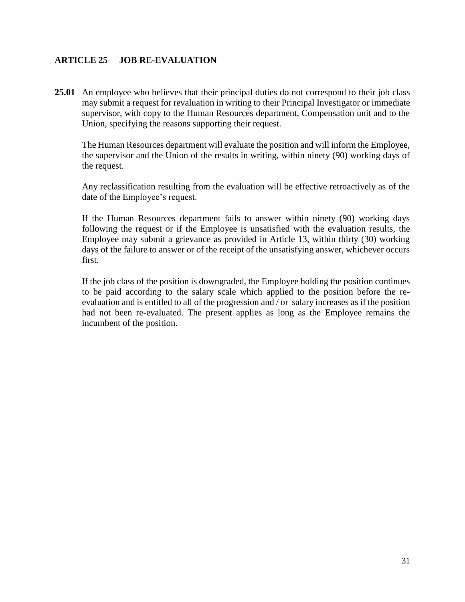#### <span id="page-34-0"></span>**ARTICLE 25 JOB RE-EVALUATION**

**25.01** An employee who believes that their principal duties do not correspond to their job class may submit a request for revaluation in writing to their Principal Investigator or immediate supervisor, with copy to the Human Resources department, Compensation unit and to the Union, specifying the reasons supporting their request.

The Human Resources department will evaluate the position and will inform the Employee, the supervisor and the Union of the results in writing, within ninety (90) working days of the request.

Any reclassification resulting from the evaluation will be effective retroactively as of the date of the Employee's request.

If the Human Resources department fails to answer within ninety (90) working days following the request or if the Employee is unsatisfied with the evaluation results, the Employee may submit a grievance as provided in Article 13, within thirty (30) working days of the failure to answer or of the receipt of the unsatisfying answer, whichever occurs first.

If the job class of the position is downgraded, the Employee holding the position continues to be paid according to the salary scale which applied to the position before the reevaluation and is entitled to all of the progression and / or salary increases as if the position had not been re-evaluated. The present applies as long as the Employee remains the incumbent of the position.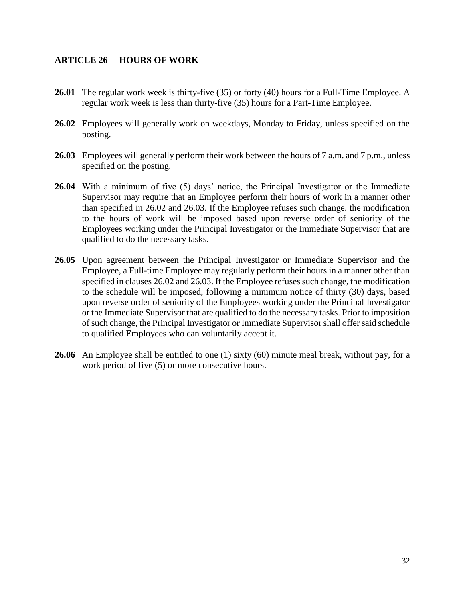#### <span id="page-35-0"></span>**ARTICLE 26 HOURS OF WORK**

- **26.01** The regular work week is thirty-five (35) or forty (40) hours for a Full-Time Employee. A regular work week is less than thirty-five (35) hours for a Part-Time Employee.
- **26.02** Employees will generally work on weekdays, Monday to Friday, unless specified on the posting.
- **26.03** Employees will generally perform their work between the hours of 7 a.m. and 7 p.m., unless specified on the posting.
- **26.04** With a minimum of five (5) days' notice, the Principal Investigator or the Immediate Supervisor may require that an Employee perform their hours of work in a manner other than specified in 26.02 and 26.03. If the Employee refuses such change, the modification to the hours of work will be imposed based upon reverse order of seniority of the Employees working under the Principal Investigator or the Immediate Supervisor that are qualified to do the necessary tasks.
- **26.05** Upon agreement between the Principal Investigator or Immediate Supervisor and the Employee, a Full-time Employee may regularly perform their hours in a manner other than specified in clauses 26.02 and 26.03. If the Employee refuses such change, the modification to the schedule will be imposed, following a minimum notice of thirty (30) days, based upon reverse order of seniority of the Employees working under the Principal Investigator or the Immediate Supervisor that are qualified to do the necessary tasks. Prior to imposition of such change, the Principal Investigator or Immediate Supervisor shall offer said schedule to qualified Employees who can voluntarily accept it.
- **26.06** An Employee shall be entitled to one (1) sixty (60) minute meal break, without pay, for a work period of five  $(5)$  or more consecutive hours.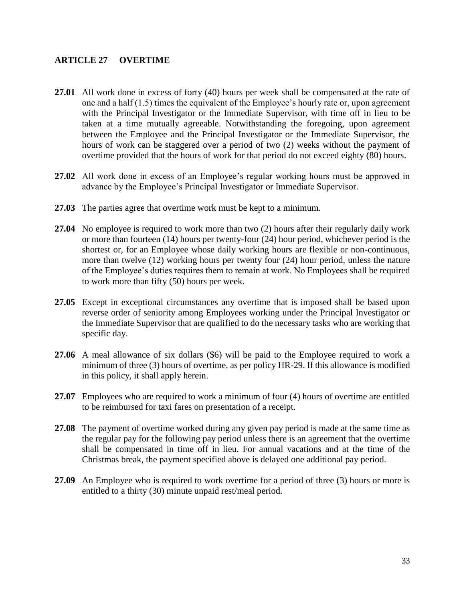#### <span id="page-36-0"></span>**ARTICLE 27 OVERTIME**

- **27.01** All work done in excess of forty (40) hours per week shall be compensated at the rate of one and a half (1.5) times the equivalent of the Employee's hourly rate or, upon agreement with the Principal Investigator or the Immediate Supervisor, with time off in lieu to be taken at a time mutually agreeable. Notwithstanding the foregoing, upon agreement between the Employee and the Principal Investigator or the Immediate Supervisor, the hours of work can be staggered over a period of two (2) weeks without the payment of overtime provided that the hours of work for that period do not exceed eighty (80) hours.
- **27.02** All work done in excess of an Employee's regular working hours must be approved in advance by the Employee's Principal Investigator or Immediate Supervisor.
- **27.03** The parties agree that overtime work must be kept to a minimum.
- **27.04** No employee is required to work more than two (2) hours after their regularly daily work or more than fourteen (14) hours per twenty-four (24) hour period, whichever period is the shortest or, for an Employee whose daily working hours are flexible or non-continuous, more than twelve (12) working hours per twenty four (24) hour period, unless the nature of the Employee's duties requires them to remain at work. No Employees shall be required to work more than fifty (50) hours per week.
- **27.05** Except in exceptional circumstances any overtime that is imposed shall be based upon reverse order of seniority among Employees working under the Principal Investigator or the Immediate Supervisor that are qualified to do the necessary tasks who are working that specific day.
- **27.06** A meal allowance of six dollars (\$6) will be paid to the Employee required to work a minimum of three (3) hours of overtime, as per policy HR-29. If this allowance is modified in this policy, it shall apply herein.
- **27.07** Employees who are required to work a minimum of four (4) hours of overtime are entitled to be reimbursed for taxi fares on presentation of a receipt.
- **27.08** The payment of overtime worked during any given pay period is made at the same time as the regular pay for the following pay period unless there is an agreement that the overtime shall be compensated in time off in lieu. For annual vacations and at the time of the Christmas break, the payment specified above is delayed one additional pay period.
- **27.09** An Employee who is required to work overtime for a period of three (3) hours or more is entitled to a thirty (30) minute unpaid rest/meal period.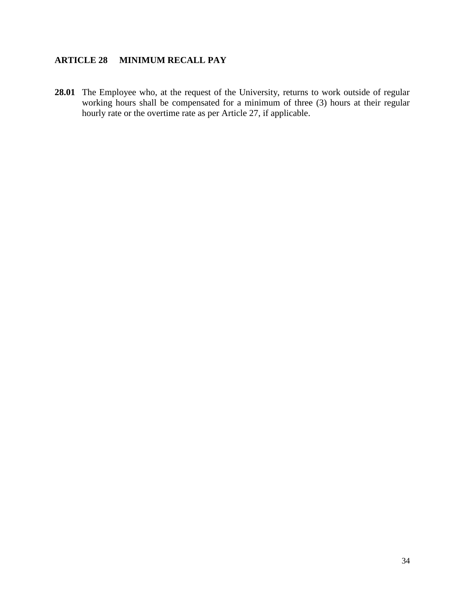## <span id="page-37-0"></span>**ARTICLE 28 MINIMUM RECALL PAY**

28.01 The Employee who, at the request of the University, returns to work outside of regular working hours shall be compensated for a minimum of three (3) hours at their regular hourly rate or the overtime rate as per Article 27, if applicable.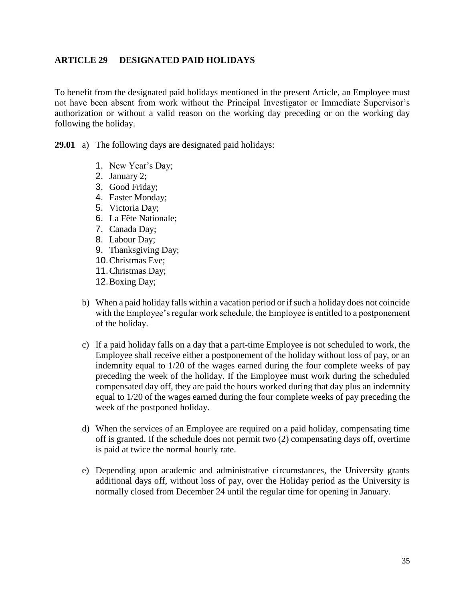#### <span id="page-38-0"></span>**ARTICLE 29 DESIGNATED PAID HOLIDAYS**

To benefit from the designated paid holidays mentioned in the present Article, an Employee must not have been absent from work without the Principal Investigator or Immediate Supervisor's authorization or without a valid reason on the working day preceding or on the working day following the holiday.

**29.01** a) The following days are designated paid holidays:

- 1. New Year's Day;
- 2. January 2;
- 3. Good Friday;
- 4. Easter Monday;
- 5. Victoria Day;
- 6. La Fête Nationale;
- 7. Canada Day;
- 8. Labour Day;
- 9. Thanksgiving Day;
- 10.Christmas Eve;
- 11.Christmas Day;
- 12.Boxing Day;
- b) When a paid holiday falls within a vacation period or if such a holiday does not coincide with the Employee's regular work schedule, the Employee is entitled to a postponement of the holiday.
- c) If a paid holiday falls on a day that a part-time Employee is not scheduled to work, the Employee shall receive either a postponement of the holiday without loss of pay, or an indemnity equal to 1/20 of the wages earned during the four complete weeks of pay preceding the week of the holiday. If the Employee must work during the scheduled compensated day off, they are paid the hours worked during that day plus an indemnity equal to 1/20 of the wages earned during the four complete weeks of pay preceding the week of the postponed holiday.
- d) When the services of an Employee are required on a paid holiday, compensating time off is granted. If the schedule does not permit two (2) compensating days off, overtime is paid at twice the normal hourly rate.
- e) Depending upon academic and administrative circumstances, the University grants additional days off, without loss of pay, over the Holiday period as the University is normally closed from December 24 until the regular time for opening in January.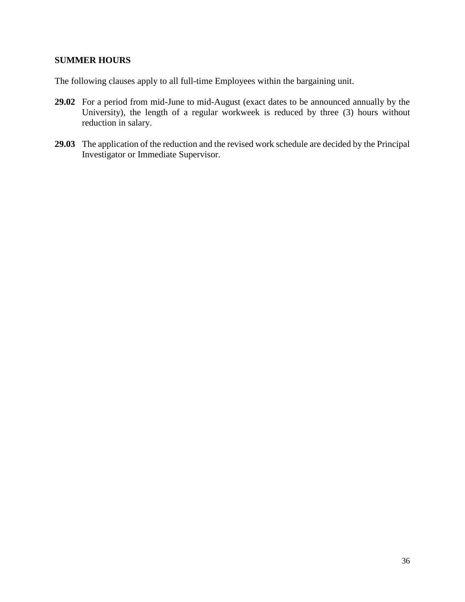#### **SUMMER HOURS**

The following clauses apply to all full-time Employees within the bargaining unit.

- **29.02** For a period from mid-June to mid-August (exact dates to be announced annually by the University), the length of a regular workweek is reduced by three (3) hours without reduction in salary.
- **29.03** The application of the reduction and the revised work schedule are decided by the Principal Investigator or Immediate Supervisor.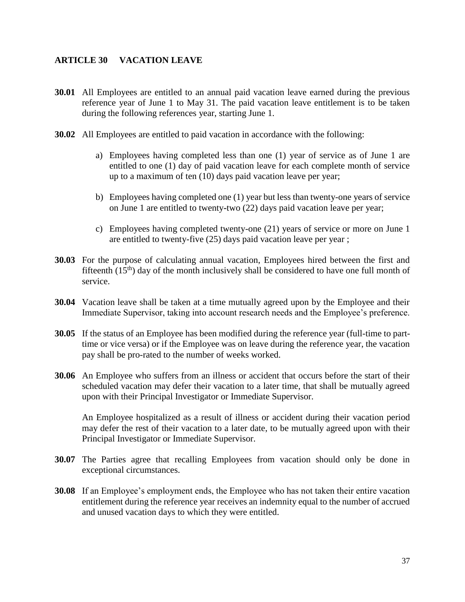#### <span id="page-40-0"></span>**ARTICLE 30 VACATION LEAVE**

- **30.01** All Employees are entitled to an annual paid vacation leave earned during the previous reference year of June 1 to May 31. The paid vacation leave entitlement is to be taken during the following references year, starting June 1.
- **30.02** All Employees are entitled to paid vacation in accordance with the following:
	- a) Employees having completed less than one (1) year of service as of June 1 are entitled to one (1) day of paid vacation leave for each complete month of service up to a maximum of ten (10) days paid vacation leave per year;
	- b) Employees having completed one (1) year but less than twenty-one years of service on June 1 are entitled to twenty**-**two (22) days paid vacation leave per year;
	- c) Employees having completed twenty-one (21) years of service or more on June 1 are entitled to twenty-five (25) days paid vacation leave per year ;
- **30.03** For the purpose of calculating annual vacation, Employees hired between the first and fifteenth  $(15<sup>th</sup>)$  day of the month inclusively shall be considered to have one full month of service.
- **30.04** Vacation leave shall be taken at a time mutually agreed upon by the Employee and their Immediate Supervisor, taking into account research needs and the Employee's preference.
- **30.05** If the status of an Employee has been modified during the reference year (full-time to parttime or vice versa) or if the Employee was on leave during the reference year, the vacation pay shall be pro-rated to the number of weeks worked.
- **30.06** An Employee who suffers from an illness or accident that occurs before the start of their scheduled vacation may defer their vacation to a later time, that shall be mutually agreed upon with their Principal Investigator or Immediate Supervisor.

An Employee hospitalized as a result of illness or accident during their vacation period may defer the rest of their vacation to a later date, to be mutually agreed upon with their Principal Investigator or Immediate Supervisor.

- **30.07** The Parties agree that recalling Employees from vacation should only be done in exceptional circumstances.
- **30.08** If an Employee's employment ends, the Employee who has not taken their entire vacation entitlement during the reference year receives an indemnity equal to the number of accrued and unused vacation days to which they were entitled.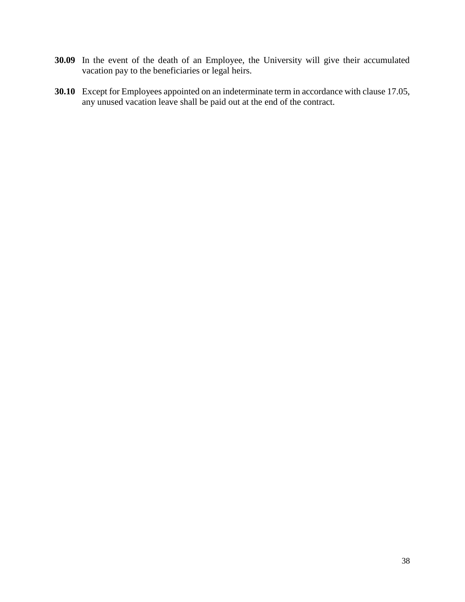- **30.09** In the event of the death of an Employee, the University will give their accumulated vacation pay to the beneficiaries or legal heirs.
- **30.10** Except for Employees appointed on an indeterminate term in accordance with clause 17.05, any unused vacation leave shall be paid out at the end of the contract.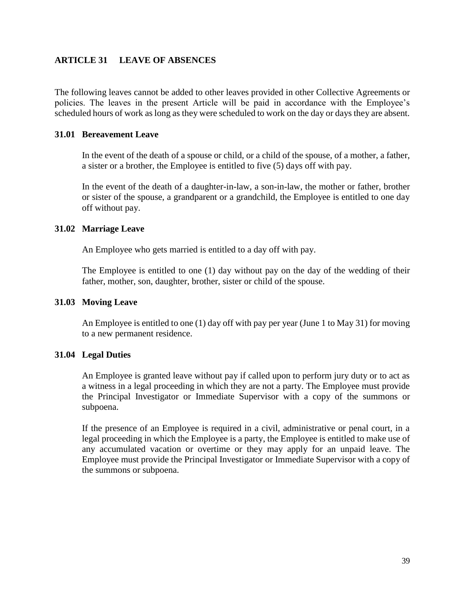#### <span id="page-42-0"></span>**ARTICLE 31 LEAVE OF ABSENCES**

The following leaves cannot be added to other leaves provided in other Collective Agreements or policies. The leaves in the present Article will be paid in accordance with the Employee's scheduled hours of work as long as they were scheduled to work on the day or days they are absent.

#### **31.01 Bereavement Leave**

In the event of the death of a spouse or child, or a child of the spouse, of a mother, a father, a sister or a brother, the Employee is entitled to five (5) days off with pay.

In the event of the death of a daughter-in-law, a son-in-law, the mother or father, brother or sister of the spouse, a grandparent or a grandchild, the Employee is entitled to one day off without pay.

#### **31.02 Marriage Leave**

An Employee who gets married is entitled to a day off with pay.

The Employee is entitled to one (1) day without pay on the day of the wedding of their father, mother, son, daughter, brother, sister or child of the spouse.

#### **31.03 Moving Leave**

An Employee is entitled to one (1) day off with pay per year (June 1 to May 31) for moving to a new permanent residence.

#### **31.04 Legal Duties**

An Employee is granted leave without pay if called upon to perform jury duty or to act as a witness in a legal proceeding in which they are not a party. The Employee must provide the Principal Investigator or Immediate Supervisor with a copy of the summons or subpoena.

If the presence of an Employee is required in a civil, administrative or penal court, in a legal proceeding in which the Employee is a party, the Employee is entitled to make use of any accumulated vacation or overtime or they may apply for an unpaid leave. The Employee must provide the Principal Investigator or Immediate Supervisor with a copy of the summons or subpoena.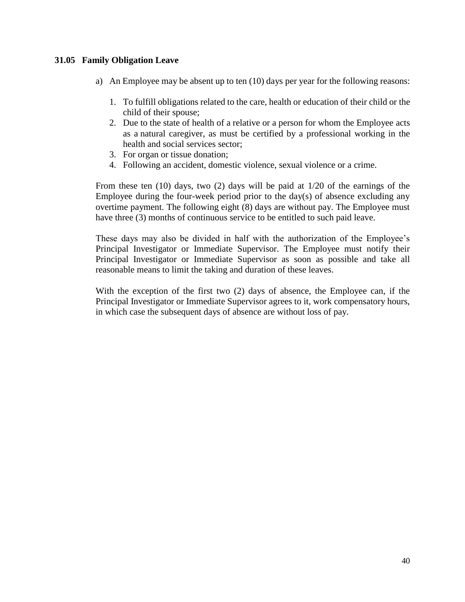#### **31.05 Family Obligation Leave**

- a) An Employee may be absent up to ten  $(10)$  days per year for the following reasons:
	- 1. To fulfill obligations related to the care, health or education of their child or the child of their spouse;
	- 2. Due to the state of health of a relative or a person for whom the Employee acts as a natural caregiver, as must be certified by a professional working in the health and social services sector;
	- 3. For organ or tissue donation;
	- 4. Following an accident, domestic violence, sexual violence or a crime.

From these ten (10) days, two (2) days will be paid at 1/20 of the earnings of the Employee during the four-week period prior to the day(s) of absence excluding any overtime payment. The following eight (8) days are without pay. The Employee must have three (3) months of continuous service to be entitled to such paid leave.

These days may also be divided in half with the authorization of the Employee's Principal Investigator or Immediate Supervisor. The Employee must notify their Principal Investigator or Immediate Supervisor as soon as possible and take all reasonable means to limit the taking and duration of these leaves.

With the exception of the first two (2) days of absence, the Employee can, if the Principal Investigator or Immediate Supervisor agrees to it, work compensatory hours, in which case the subsequent days of absence are without loss of pay.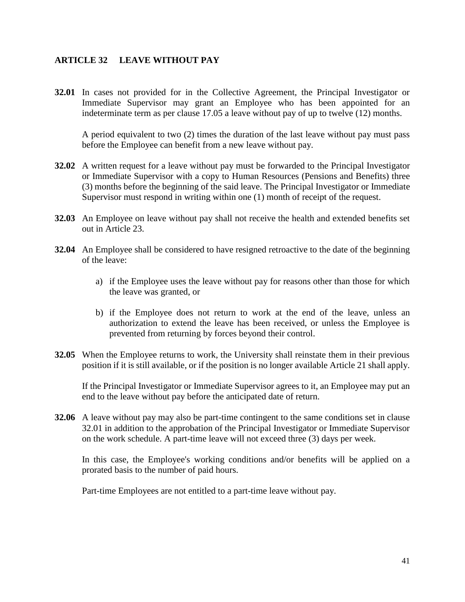#### <span id="page-44-0"></span>**ARTICLE 32 LEAVE WITHOUT PAY**

**32.01** In cases not provided for in the Collective Agreement, the Principal Investigator or Immediate Supervisor may grant an Employee who has been appointed for an indeterminate term as per clause 17.05 a leave without pay of up to twelve (12) months.

A period equivalent to two (2) times the duration of the last leave without pay must pass before the Employee can benefit from a new leave without pay.

- **32.02** A written request for a leave without pay must be forwarded to the Principal Investigator or Immediate Supervisor with a copy to Human Resources (Pensions and Benefits) three (3) months before the beginning of the said leave. The Principal Investigator or Immediate Supervisor must respond in writing within one (1) month of receipt of the request.
- **32.03** An Employee on leave without pay shall not receive the health and extended benefits set out in Article 23.
- **32.04** An Employee shall be considered to have resigned retroactive to the date of the beginning of the leave:
	- a) if the Employee uses the leave without pay for reasons other than those for which the leave was granted, or
	- b) if the Employee does not return to work at the end of the leave, unless an authorization to extend the leave has been received, or unless the Employee is prevented from returning by forces beyond their control.
- **32.05** When the Employee returns to work, the University shall reinstate them in their previous position if it is still available, or if the position is no longer available Article 21 shall apply.

If the Principal Investigator or Immediate Supervisor agrees to it, an Employee may put an end to the leave without pay before the anticipated date of return.

**32.06** A leave without pay may also be part-time contingent to the same conditions set in clause 32.01 in addition to the approbation of the Principal Investigator or Immediate Supervisor on the work schedule. A part-time leave will not exceed three (3) days per week.

In this case, the Employee's working conditions and/or benefits will be applied on a prorated basis to the number of paid hours.

Part-time Employees are not entitled to a part-time leave without pay.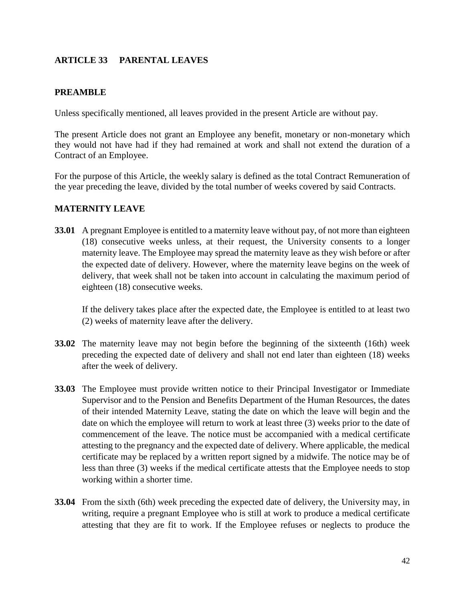#### <span id="page-45-0"></span>**ARTICLE 33 PARENTAL LEAVES**

#### **PREAMBLE**

Unless specifically mentioned, all leaves provided in the present Article are without pay.

The present Article does not grant an Employee any benefit, monetary or non-monetary which they would not have had if they had remained at work and shall not extend the duration of a Contract of an Employee.

For the purpose of this Article, the weekly salary is defined as the total Contract Remuneration of the year preceding the leave, divided by the total number of weeks covered by said Contracts.

#### **MATERNITY LEAVE**

**33.01** A pregnant Employee is entitled to a maternity leave without pay, of not more than eighteen (18) consecutive weeks unless, at their request, the University consents to a longer maternity leave. The Employee may spread the maternity leave as they wish before or after the expected date of delivery. However, where the maternity leave begins on the week of delivery, that week shall not be taken into account in calculating the maximum period of eighteen (18) consecutive weeks.

If the delivery takes place after the expected date, the Employee is entitled to at least two (2) weeks of maternity leave after the delivery.

- **33.02** The maternity leave may not begin before the beginning of the sixteenth (16th) week preceding the expected date of delivery and shall not end later than eighteen (18) weeks after the week of delivery.
- **33.03** The Employee must provide written notice to their Principal Investigator or Immediate Supervisor and to the Pension and Benefits Department of the Human Resources, the dates of their intended Maternity Leave, stating the date on which the leave will begin and the date on which the employee will return to work at least three (3) weeks prior to the date of commencement of the leave. The notice must be accompanied with a medical certificate attesting to the pregnancy and the expected date of delivery. Where applicable, the medical certificate may be replaced by a written report signed by a midwife. The notice may be of less than three (3) weeks if the medical certificate attests that the Employee needs to stop working within a shorter time.
- **33.04** From the sixth (6th) week preceding the expected date of delivery, the University may, in writing, require a pregnant Employee who is still at work to produce a medical certificate attesting that they are fit to work. If the Employee refuses or neglects to produce the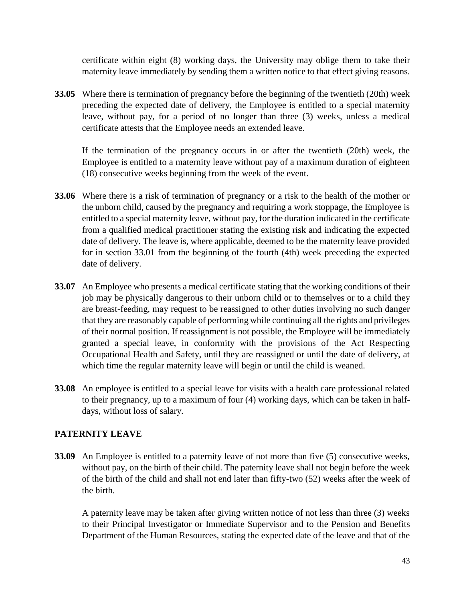certificate within eight (8) working days, the University may oblige them to take their maternity leave immediately by sending them a written notice to that effect giving reasons.

**33.05** Where there is termination of pregnancy before the beginning of the twentieth (20th) week preceding the expected date of delivery, the Employee is entitled to a special maternity leave, without pay, for a period of no longer than three (3) weeks, unless a medical certificate attests that the Employee needs an extended leave.

If the termination of the pregnancy occurs in or after the twentieth (20th) week, the Employee is entitled to a maternity leave without pay of a maximum duration of eighteen (18) consecutive weeks beginning from the week of the event.

- **33.06** Where there is a risk of termination of pregnancy or a risk to the health of the mother or the unborn child, caused by the pregnancy and requiring a work stoppage, the Employee is entitled to a special maternity leave, without pay, for the duration indicated in the certificate from a qualified medical practitioner stating the existing risk and indicating the expected date of delivery. The leave is, where applicable, deemed to be the maternity leave provided for in section 33.01 from the beginning of the fourth (4th) week preceding the expected date of delivery.
- **33.07** An Employee who presents a medical certificate stating that the working conditions of their job may be physically dangerous to their unborn child or to themselves or to a child they are breast-feeding, may request to be reassigned to other duties involving no such danger that they are reasonably capable of performing while continuing all the rights and privileges of their normal position. If reassignment is not possible, the Employee will be immediately granted a special leave, in conformity with the provisions of the Act Respecting Occupational Health and Safety, until they are reassigned or until the date of delivery, at which time the regular maternity leave will begin or until the child is weaned.
- **33.08** An employee is entitled to a special leave for visits with a health care professional related to their pregnancy, up to a maximum of four (4) working days, which can be taken in halfdays, without loss of salary.

#### **PATERNITY LEAVE**

**33.09** An Employee is entitled to a paternity leave of not more than five (5) consecutive weeks, without pay, on the birth of their child. The paternity leave shall not begin before the week of the birth of the child and shall not end later than fifty-two (52) weeks after the week of the birth.

A paternity leave may be taken after giving written notice of not less than three (3) weeks to their Principal Investigator or Immediate Supervisor and to the Pension and Benefits Department of the Human Resources, stating the expected date of the leave and that of the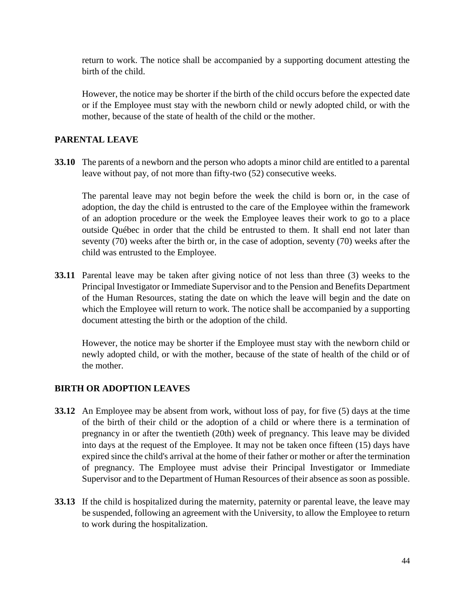return to work. The notice shall be accompanied by a supporting document attesting the birth of the child.

However, the notice may be shorter if the birth of the child occurs before the expected date or if the Employee must stay with the newborn child or newly adopted child, or with the mother, because of the state of health of the child or the mother.

#### **PARENTAL LEAVE**

**33.10** The parents of a newborn and the person who adopts a minor child are entitled to a parental leave without pay, of not more than fifty-two (52) consecutive weeks.

The parental leave may not begin before the week the child is born or, in the case of adoption, the day the child is entrusted to the care of the Employee within the framework of an adoption procedure or the week the Employee leaves their work to go to a place outside Québec in order that the child be entrusted to them. It shall end not later than seventy (70) weeks after the birth or, in the case of adoption, seventy (70) weeks after the child was entrusted to the Employee.

**33.11** Parental leave may be taken after giving notice of not less than three (3) weeks to the Principal Investigator or Immediate Supervisor and to the Pension and Benefits Department of the Human Resources, stating the date on which the leave will begin and the date on which the Employee will return to work. The notice shall be accompanied by a supporting document attesting the birth or the adoption of the child.

However, the notice may be shorter if the Employee must stay with the newborn child or newly adopted child, or with the mother, because of the state of health of the child or of the mother.

#### **BIRTH OR ADOPTION LEAVES**

- **33.12** An Employee may be absent from work, without loss of pay, for five (5) days at the time of the birth of their child or the adoption of a child or where there is a termination of pregnancy in or after the twentieth (20th) week of pregnancy. This leave may be divided into days at the request of the Employee. It may not be taken once fifteen (15) days have expired since the child's arrival at the home of their father or mother or after the termination of pregnancy. The Employee must advise their Principal Investigator or Immediate Supervisor and to the Department of Human Resources of their absence as soon as possible.
- **33.13** If the child is hospitalized during the maternity, paternity or parental leave, the leave may be suspended, following an agreement with the University, to allow the Employee to return to work during the hospitalization.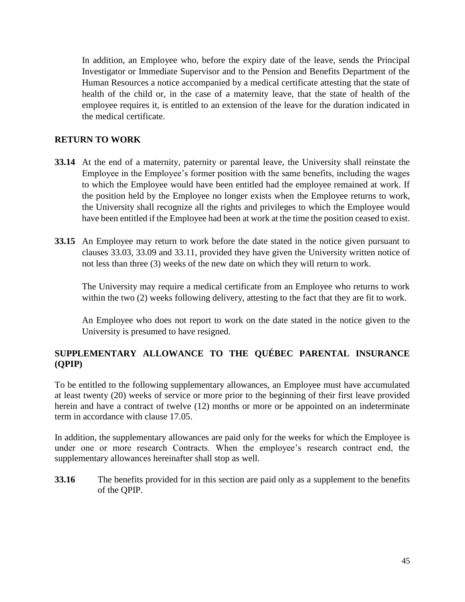In addition, an Employee who, before the expiry date of the leave, sends the Principal Investigator or Immediate Supervisor and to the Pension and Benefits Department of the Human Resources a notice accompanied by a medical certificate attesting that the state of health of the child or, in the case of a maternity leave, that the state of health of the employee requires it, is entitled to an extension of the leave for the duration indicated in the medical certificate.

#### **RETURN TO WORK**

- **33.14** At the end of a maternity, paternity or parental leave, the University shall reinstate the Employee in the Employee's former position with the same benefits, including the wages to which the Employee would have been entitled had the employee remained at work. If the position held by the Employee no longer exists when the Employee returns to work, the University shall recognize all the rights and privileges to which the Employee would have been entitled if the Employee had been at work at the time the position ceased to exist.
- **33.15** An Employee may return to work before the date stated in the notice given pursuant to clauses 33.03, 33.09 and 33.11, provided they have given the University written notice of not less than three (3) weeks of the new date on which they will return to work.

The University may require a medical certificate from an Employee who returns to work within the two (2) weeks following delivery, attesting to the fact that they are fit to work.

An Employee who does not report to work on the date stated in the notice given to the University is presumed to have resigned.

#### **SUPPLEMENTARY ALLOWANCE TO THE QUÉBEC PARENTAL INSURANCE (QPIP)**

To be entitled to the following supplementary allowances, an Employee must have accumulated at least twenty (20) weeks of service or more prior to the beginning of their first leave provided herein and have a contract of twelve (12) months or more or be appointed on an indeterminate term in accordance with clause 17.05.

In addition, the supplementary allowances are paid only for the weeks for which the Employee is under one or more research Contracts. When the employee's research contract end, the supplementary allowances hereinafter shall stop as well.

**33.16** The benefits provided for in this section are paid only as a supplement to the benefits of the QPIP.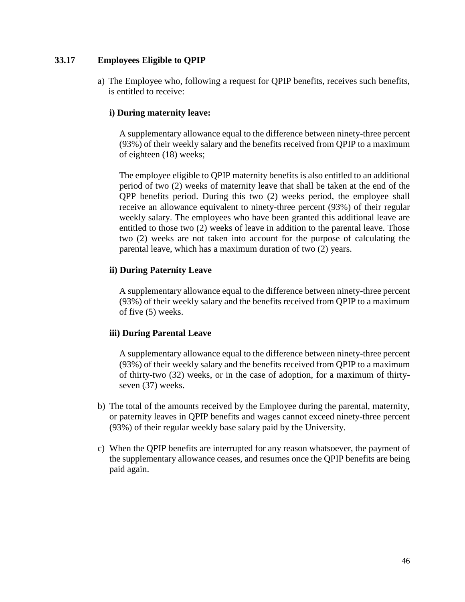#### **33.17 Employees Eligible to QPIP**

a) The Employee who, following a request for QPIP benefits, receives such benefits, is entitled to receive:

#### **i) During maternity leave:**

A supplementary allowance equal to the difference between ninety-three percent (93%) of their weekly salary and the benefits received from QPIP to a maximum of eighteen (18) weeks;

The employee eligible to QPIP maternity benefits is also entitled to an additional period of two (2) weeks of maternity leave that shall be taken at the end of the QPP benefits period. During this two (2) weeks period, the employee shall receive an allowance equivalent to ninety-three percent (93%) of their regular weekly salary. The employees who have been granted this additional leave are entitled to those two (2) weeks of leave in addition to the parental leave. Those two (2) weeks are not taken into account for the purpose of calculating the parental leave, which has a maximum duration of two (2) years.

#### **ii) During Paternity Leave**

A supplementary allowance equal to the difference between ninety-three percent (93%) of their weekly salary and the benefits received from QPIP to a maximum of five (5) weeks.

#### **iii) During Parental Leave**

A supplementary allowance equal to the difference between ninety-three percent (93%) of their weekly salary and the benefits received from QPIP to a maximum of thirty-two (32) weeks, or in the case of adoption, for a maximum of thirtyseven (37) weeks.

- b) The total of the amounts received by the Employee during the parental, maternity, or paternity leaves in QPIP benefits and wages cannot exceed ninety-three percent (93%) of their regular weekly base salary paid by the University.
- c) When the QPIP benefits are interrupted for any reason whatsoever, the payment of the supplementary allowance ceases, and resumes once the QPIP benefits are being paid again.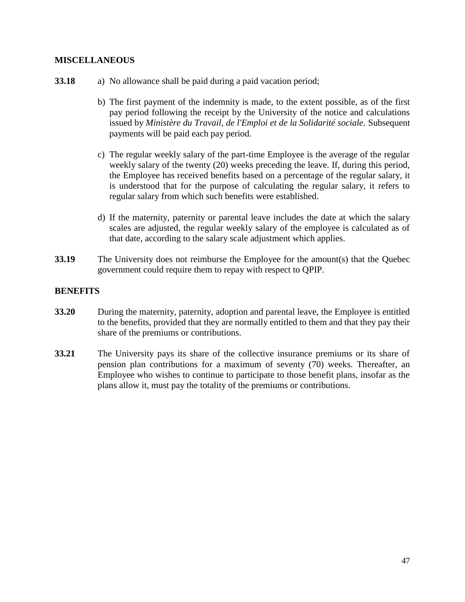#### **MISCELLANEOUS**

- **33.18** a) No allowance shall be paid during a paid vacation period;
	- b) The first payment of the indemnity is made, to the extent possible, as of the first pay period following the receipt by the University of the notice and calculations issued by *Ministère du Travail, de l'Emploi et de la Solidarité sociale.* Subsequent payments will be paid each pay period.
	- c) The regular weekly salary of the part-time Employee is the average of the regular weekly salary of the twenty (20) weeks preceding the leave. If, during this period, the Employee has received benefits based on a percentage of the regular salary, it is understood that for the purpose of calculating the regular salary, it refers to regular salary from which such benefits were established.
	- d) If the maternity, paternity or parental leave includes the date at which the salary scales are adjusted, the regular weekly salary of the employee is calculated as of that date, according to the salary scale adjustment which applies.
- **33.19** The University does not reimburse the Employee for the amount(s) that the Quebec government could require them to repay with respect to QPIP.

#### **BENEFITS**

- **33.20** During the maternity, paternity, adoption and parental leave, the Employee is entitled to the benefits, provided that they are normally entitled to them and that they pay their share of the premiums or contributions.
- **33.21** The University pays its share of the collective insurance premiums or its share of pension plan contributions for a maximum of seventy (70) weeks. Thereafter, an Employee who wishes to continue to participate to those benefit plans, insofar as the plans allow it, must pay the totality of the premiums or contributions.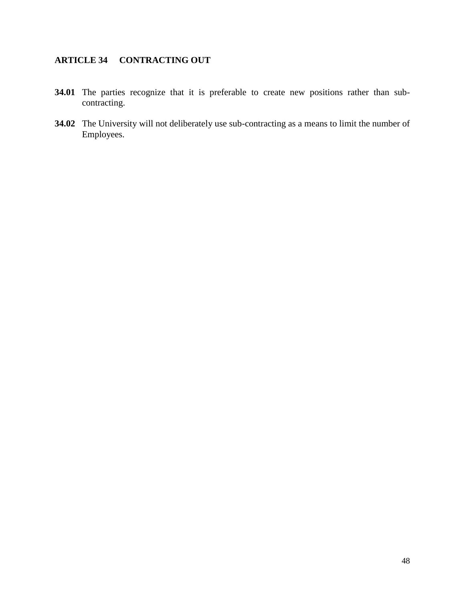## <span id="page-51-0"></span>**ARTICLE 34 CONTRACTING OUT**

- **34.01** The parties recognize that it is preferable to create new positions rather than subcontracting.
- **34.02** The University will not deliberately use sub-contracting as a means to limit the number of Employees.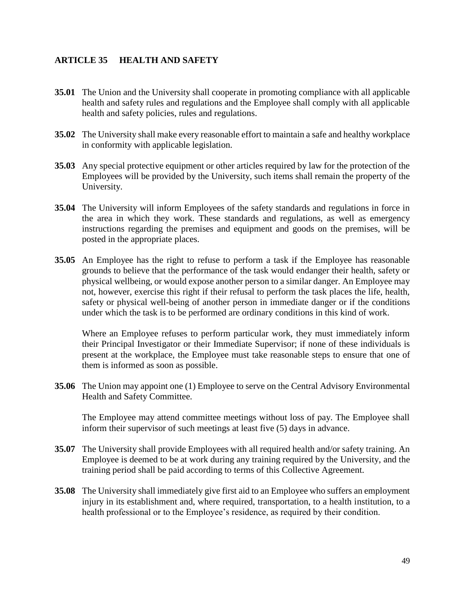#### <span id="page-52-0"></span>**ARTICLE 35 HEALTH AND SAFETY**

- **35.01** The Union and the University shall cooperate in promoting compliance with all applicable health and safety rules and regulations and the Employee shall comply with all applicable health and safety policies, rules and regulations.
- **35.02** The University shall make every reasonable effort to maintain a safe and healthy workplace in conformity with applicable legislation.
- **35.03** Any special protective equipment or other articles required by law for the protection of the Employees will be provided by the University, such items shall remain the property of the University.
- **35.04** The University will inform Employees of the safety standards and regulations in force in the area in which they work. These standards and regulations, as well as emergency instructions regarding the premises and equipment and goods on the premises, will be posted in the appropriate places.
- **35.05** An Employee has the right to refuse to perform a task if the Employee has reasonable grounds to believe that the performance of the task would endanger their health, safety or physical wellbeing, or would expose another person to a similar danger. An Employee may not, however, exercise this right if their refusal to perform the task places the life, health, safety or physical well-being of another person in immediate danger or if the conditions under which the task is to be performed are ordinary conditions in this kind of work.

Where an Employee refuses to perform particular work, they must immediately inform their Principal Investigator or their Immediate Supervisor; if none of these individuals is present at the workplace, the Employee must take reasonable steps to ensure that one of them is informed as soon as possible.

**35.06** The Union may appoint one (1) Employee to serve on the Central Advisory Environmental Health and Safety Committee.

The Employee may attend committee meetings without loss of pay. The Employee shall inform their supervisor of such meetings at least five (5) days in advance.

- **35.07** The University shall provide Employees with all required health and/or safety training. An Employee is deemed to be at work during any training required by the University, and the training period shall be paid according to terms of this Collective Agreement.
- **35.08** The University shall immediately give first aid to an Employee who suffers an employment injury in its establishment and, where required, transportation, to a health institution, to a health professional or to the Employee's residence, as required by their condition.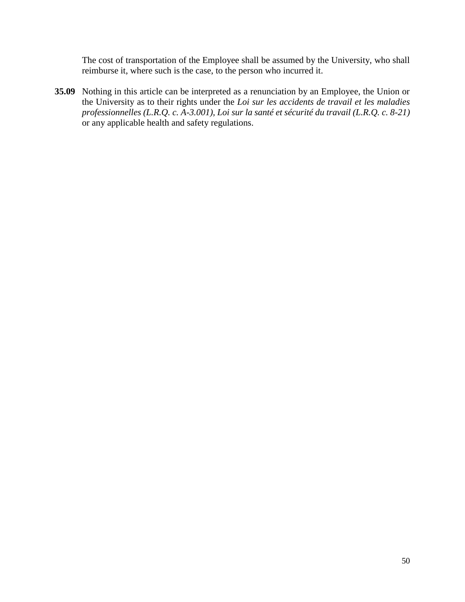The cost of transportation of the Employee shall be assumed by the University, who shall reimburse it, where such is the case, to the person who incurred it.

**35.09** Nothing in this article can be interpreted as a renunciation by an Employee, the Union or the University as to their rights under the *Loi sur les accidents de travail et les maladies professionnelles (L.R.Q. c. A-3.001), Loi sur la santé et sécurité du travail (L.R.Q. c. 8-21)* or any applicable health and safety regulations.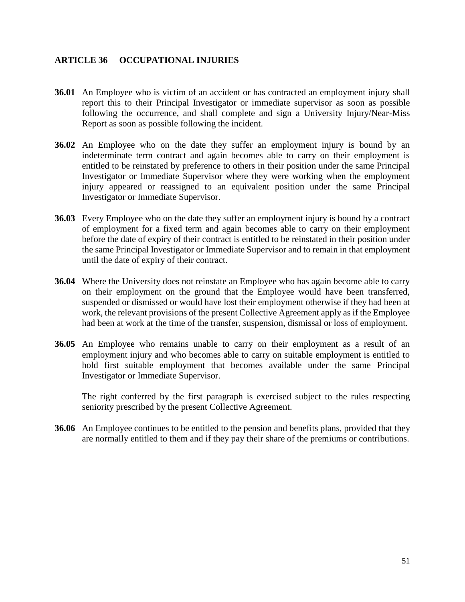#### <span id="page-54-0"></span>**ARTICLE 36 OCCUPATIONAL INJURIES**

- **36.01** An Employee who is victim of an accident or has contracted an employment injury shall report this to their Principal Investigator or immediate supervisor as soon as possible following the occurrence, and shall complete and sign a University Injury/Near-Miss Report as soon as possible following the incident.
- **36.02** An Employee who on the date they suffer an employment injury is bound by an indeterminate term contract and again becomes able to carry on their employment is entitled to be reinstated by preference to others in their position under the same Principal Investigator or Immediate Supervisor where they were working when the employment injury appeared or reassigned to an equivalent position under the same Principal Investigator or Immediate Supervisor.
- **36.03** Every Employee who on the date they suffer an employment injury is bound by a contract of employment for a fixed term and again becomes able to carry on their employment before the date of expiry of their contract is entitled to be reinstated in their position under the same Principal Investigator or Immediate Supervisor and to remain in that employment until the date of expiry of their contract.
- **36.04** Where the University does not reinstate an Employee who has again become able to carry on their employment on the ground that the Employee would have been transferred, suspended or dismissed or would have lost their employment otherwise if they had been at work, the relevant provisions of the present Collective Agreement apply as if the Employee had been at work at the time of the transfer, suspension, dismissal or loss of employment.
- **36.05** An Employee who remains unable to carry on their employment as a result of an employment injury and who becomes able to carry on suitable employment is entitled to hold first suitable employment that becomes available under the same Principal Investigator or Immediate Supervisor.

The right conferred by the first paragraph is exercised subject to the rules respecting seniority prescribed by the present Collective Agreement.

**36.06** An Employee continues to be entitled to the pension and benefits plans, provided that they are normally entitled to them and if they pay their share of the premiums or contributions.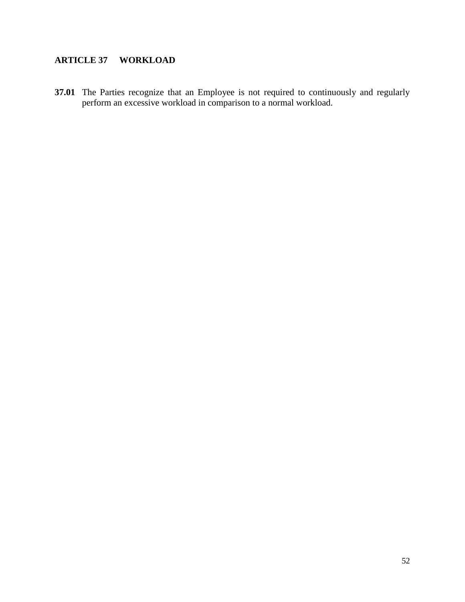## <span id="page-55-0"></span>**ARTICLE 37 WORKLOAD**

**37.01** The Parties recognize that an Employee is not required to continuously and regularly perform an excessive workload in comparison to a normal workload.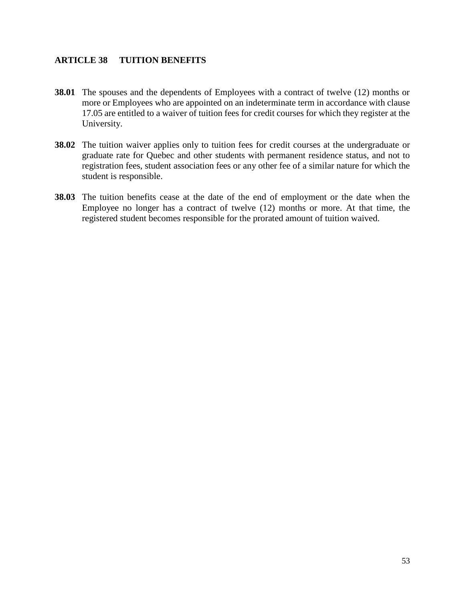#### <span id="page-56-0"></span>**ARTICLE 38 TUITION BENEFITS**

- **38.01** The spouses and the dependents of Employees with a contract of twelve (12) months or more or Employees who are appointed on an indeterminate term in accordance with clause 17.05 are entitled to a waiver of tuition fees for credit courses for which they register at the University.
- **38.02** The tuition waiver applies only to tuition fees for credit courses at the undergraduate or graduate rate for Quebec and other students with permanent residence status, and not to registration fees, student association fees or any other fee of a similar nature for which the student is responsible.
- **38.03** The tuition benefits cease at the date of the end of employment or the date when the Employee no longer has a contract of twelve (12) months or more. At that time, the registered student becomes responsible for the prorated amount of tuition waived.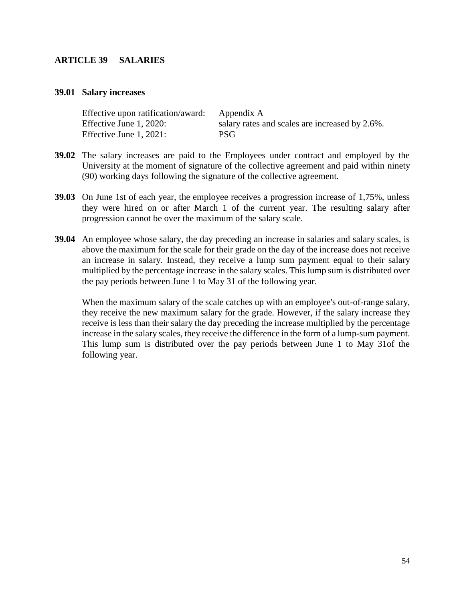#### <span id="page-57-0"></span>**ARTICLE 39 SALARIES**

#### **39.01 Salary increases**

| Effective upon ratification/award: | Appendix A                                     |
|------------------------------------|------------------------------------------------|
| Effective June 1, 2020:            | salary rates and scales are increased by 2.6%. |
| Effective June 1, 2021:            | <b>PSG</b>                                     |

- **39.02** The salary increases are paid to the Employees under contract and employed by the University at the moment of signature of the collective agreement and paid within ninety (90) working days following the signature of the collective agreement.
- **39.03** On June 1st of each year, the employee receives a progression increase of 1,75%, unless they were hired on or after March 1 of the current year. The resulting salary after progression cannot be over the maximum of the salary scale.
- **39.04** An employee whose salary, the day preceding an increase in salaries and salary scales, is above the maximum for the scale for their grade on the day of the increase does not receive an increase in salary. Instead, they receive a lump sum payment equal to their salary multiplied by the percentage increase in the salary scales. This lump sum is distributed over the pay periods between June 1 to May 31 of the following year.

When the maximum salary of the scale catches up with an employee's out-of-range salary, they receive the new maximum salary for the grade. However, if the salary increase they receive is less than their salary the day preceding the increase multiplied by the percentage increase in the salary scales, they receive the difference in the form of a lump-sum payment. This lump sum is distributed over the pay periods between June 1 to May 31of the following year.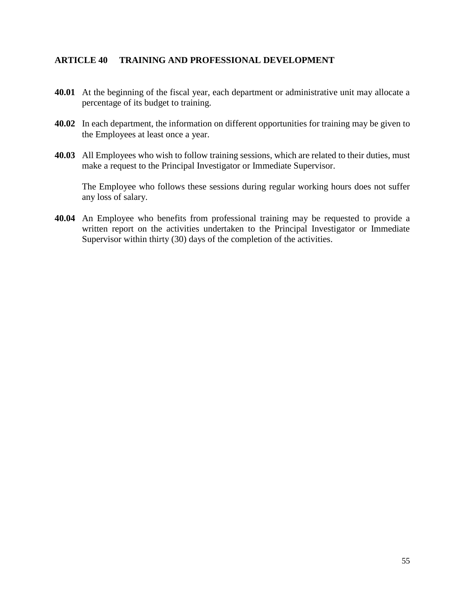#### <span id="page-58-0"></span>**ARTICLE 40 TRAINING AND PROFESSIONAL DEVELOPMENT**

- **40.01** At the beginning of the fiscal year, each department or administrative unit may allocate a percentage of its budget to training.
- **40.02** In each department, the information on different opportunities for training may be given to the Employees at least once a year.
- **40.03** All Employees who wish to follow training sessions, which are related to their duties, must make a request to the Principal Investigator or Immediate Supervisor.

The Employee who follows these sessions during regular working hours does not suffer any loss of salary.

**40.04** An Employee who benefits from professional training may be requested to provide a written report on the activities undertaken to the Principal Investigator or Immediate Supervisor within thirty (30) days of the completion of the activities.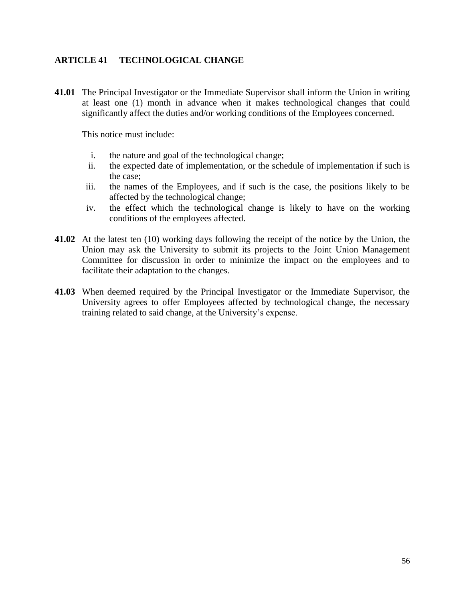#### <span id="page-59-0"></span>**ARTICLE 41 TECHNOLOGICAL CHANGE**

**41.01** The Principal Investigator or the Immediate Supervisor shall inform the Union in writing at least one (1) month in advance when it makes technological changes that could significantly affect the duties and/or working conditions of the Employees concerned.

This notice must include:

- i. the nature and goal of the technological change;
- ii. the expected date of implementation, or the schedule of implementation if such is the case;
- iii. the names of the Employees, and if such is the case, the positions likely to be affected by the technological change;
- iv. the effect which the technological change is likely to have on the working conditions of the employees affected.
- **41.02** At the latest ten (10) working days following the receipt of the notice by the Union, the Union may ask the University to submit its projects to the Joint Union Management Committee for discussion in order to minimize the impact on the employees and to facilitate their adaptation to the changes.
- **41.03** When deemed required by the Principal Investigator or the Immediate Supervisor, the University agrees to offer Employees affected by technological change, the necessary training related to said change, at the University's expense.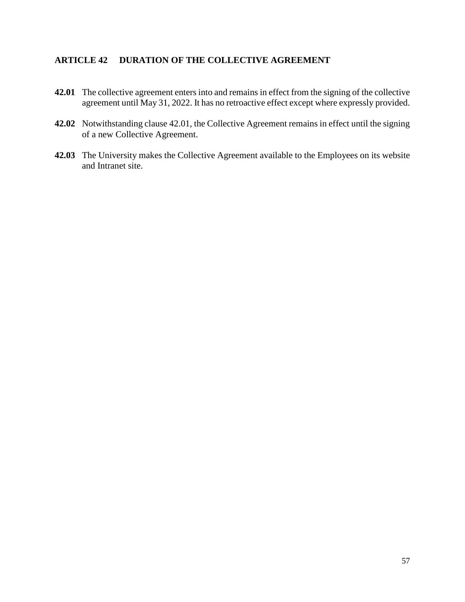#### <span id="page-60-0"></span>**ARTICLE 42 DURATION OF THE COLLECTIVE AGREEMENT**

- **42.01** The collective agreement enters into and remains in effect from the signing of the collective agreement until May 31, 2022. It has no retroactive effect except where expressly provided.
- **42.02** Notwithstanding clause 42.01, the Collective Agreement remains in effect until the signing of a new Collective Agreement.
- **42.03** The University makes the Collective Agreement available to the Employees on its website and Intranet site.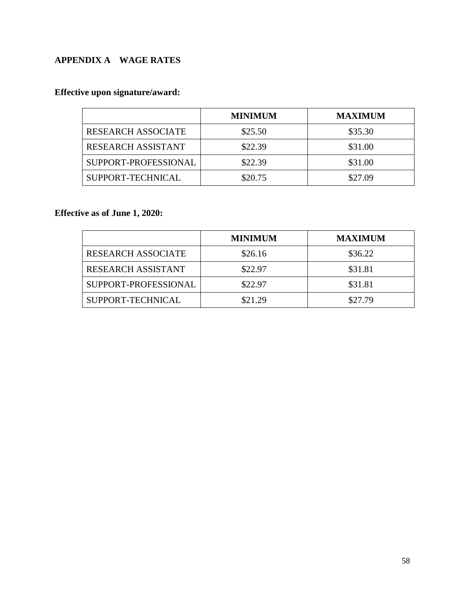## <span id="page-61-0"></span>**APPENDIX A WAGE RATES**

## **Effective upon signature/award:**

|                           | <b>MINIMUM</b> | <b>MAXIMUM</b> |
|---------------------------|----------------|----------------|
| <b>RESEARCH ASSOCIATE</b> | \$25.50        | \$35.30        |
| <b>RESEARCH ASSISTANT</b> | \$22.39        | \$31.00        |
| SUPPORT-PROFESSIONAL      | \$22.39        | \$31.00        |
| SUPPORT-TECHNICAL         | \$20.75        | \$27.09        |

**Effective as of June 1, 2020:**

|                           | <b>MINIMUM</b> | <b>MAXIMUM</b> |
|---------------------------|----------------|----------------|
| <b>RESEARCH ASSOCIATE</b> | \$26.16        | \$36.22        |
| <b>RESEARCH ASSISTANT</b> | \$22.97        | \$31.81        |
| SUPPORT-PROFESSIONAL      | \$22.97        | \$31.81        |
| SUPPORT-TECHNICAL         | \$21.29        | \$27.79        |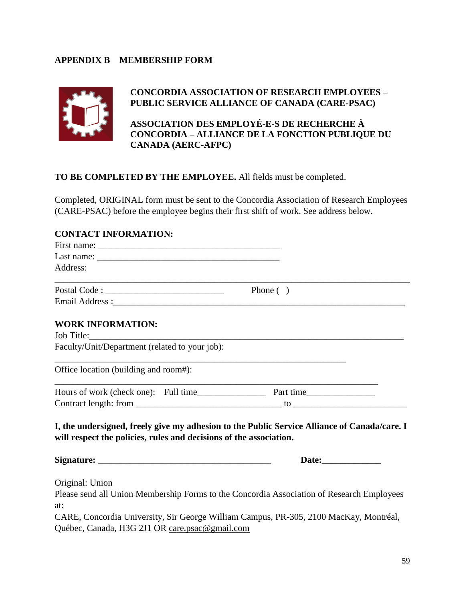#### <span id="page-62-0"></span>**APPENDIX B MEMBERSHIP FORM**



#### **CONCORDIA ASSOCIATION OF RESEARCH EMPLOYEES – PUBLIC SERVICE ALLIANCE OF CANADA (CARE-PSAC)**

**ASSOCIATION DES EMPLOYÉ-E-S DE RECHERCHE À CONCORDIA – ALLIANCE DE LA FONCTION PUBLIQUE DU CANADA (AERC-AFPC)**

#### **TO BE COMPLETED BY THE EMPLOYEE.** All fields must be completed.

Completed, ORIGINAL form must be sent to the Concordia Association of Research Employees (CARE-PSAC) before the employee begins their first shift of work. See address below.

#### **CONTACT INFORMATION:**

| Address:                                                           |                                                                                              |
|--------------------------------------------------------------------|----------------------------------------------------------------------------------------------|
| <u> 1989 - Johann Stoff, amerikansk politiker (* 1908)</u>         | Phone $( )$                                                                                  |
|                                                                    |                                                                                              |
| <b>WORK INFORMATION:</b>                                           |                                                                                              |
| Job Title:                                                         |                                                                                              |
| Faculty/Unit/Department (related to your job):                     |                                                                                              |
| Office location (building and room#):                              |                                                                                              |
|                                                                    |                                                                                              |
|                                                                    |                                                                                              |
| will respect the policies, rules and decisions of the association. | I, the undersigned, freely give my adhesion to the Public Service Alliance of Canada/care. I |
|                                                                    | Date:                                                                                        |
| Original: Union                                                    |                                                                                              |
|                                                                    | Please send all Union Membership Forms to the Concordia Association of Research Employees    |
| at:                                                                |                                                                                              |

CARE, Concordia University, Sir George William Campus, PR-305, 2100 MacKay, Montréal, Québec, Canada, H3G 2J1 OR care.psac@gmail.com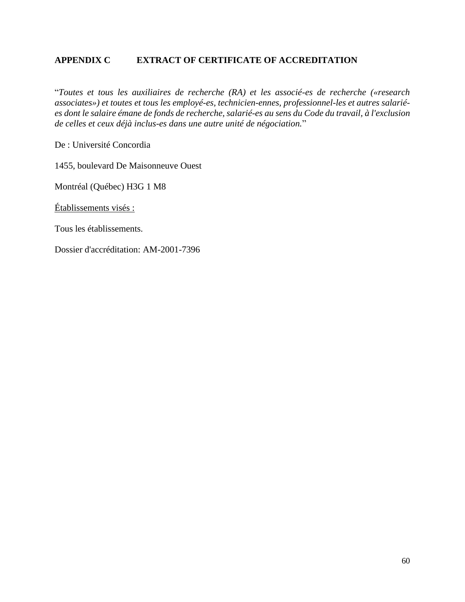#### <span id="page-63-0"></span>**APPENDIX C EXTRACT OF CERTIFICATE OF ACCREDITATION**

"*Toutes et tous les auxiliaires de recherche (RA) et les associé-es de recherche («research associates») et toutes et tous les employé-es, technicien-ennes, professionnel-les et autres salariées dont le salaire émane de fonds de recherche, salarié-es au sens du Code du travail, à l'exclusion de celles et ceux déjà inclus-es dans une autre unité de négociation.*"

De : Université Concordia

1455, boulevard De Maisonneuve Ouest

Montréal (Québec) H3G 1 M8

Établissements visés :

Tous les établissements.

Dossier d'accréditation: AM-2001-7396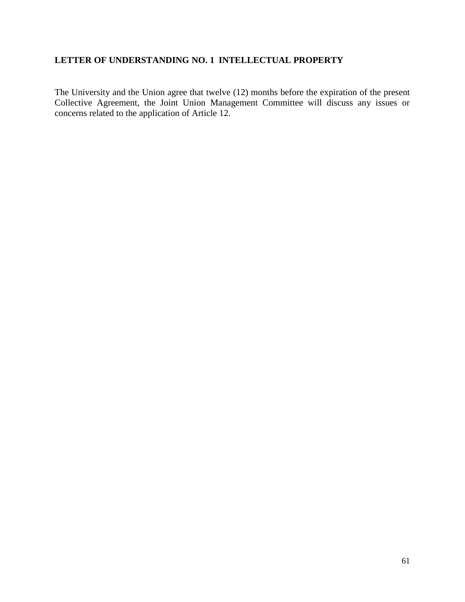## <span id="page-64-0"></span>**LETTER OF UNDERSTANDING NO. 1 INTELLECTUAL PROPERTY**

The University and the Union agree that twelve (12) months before the expiration of the present Collective Agreement, the Joint Union Management Committee will discuss any issues or concerns related to the application of Article 12.